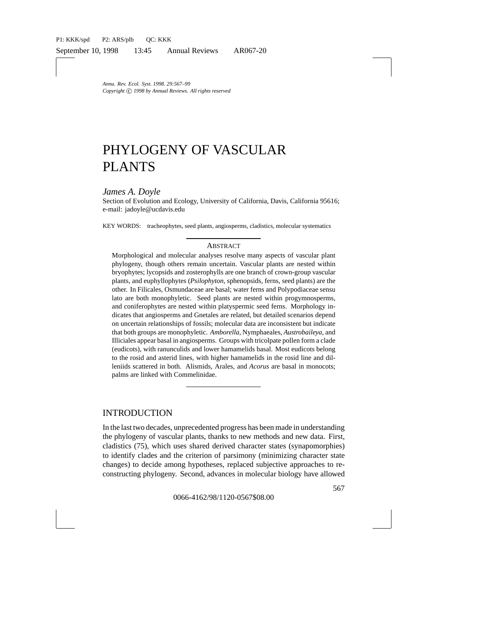# PHYLOGENY OF VASCULAR PLANTS

### *James A. Doyle*

Section of Evolution and Ecology, University of California, Davis, California 95616; e-mail: jadoyle@ucdavis.edu

KEY WORDS: tracheophytes, seed plants, angiosperms, cladistics, molecular systematics

#### **ABSTRACT**

Morphological and molecular analyses resolve many aspects of vascular plant phylogeny, though others remain uncertain. Vascular plants are nested within bryophytes; lycopsids and zosterophylls are one branch of crown-group vascular plants, and euphyllophytes (*Psilophyton*, sphenopsids, ferns, seed plants) are the other. In Filicales, Osmundaceae are basal; water ferns and Polypodiaceae sensu lato are both monophyletic. Seed plants are nested within progymnosperms, and coniferophytes are nested within platyspermic seed ferns. Morphology indicates that angiosperms and Gnetales are related, but detailed scenarios depend on uncertain relationships of fossils; molecular data are inconsistent but indicate that both groups are monophyletic. *Amborella*, Nymphaeales, *Austrobaileya*, and Illiciales appear basal in angiosperms. Groups with tricolpate pollen form a clade (eudicots), with ranunculids and lower hamamelids basal. Most eudicots belong to the rosid and asterid lines, with higher hamamelids in the rosid line and dilleniids scattered in both. Alismids, Arales, and *Acorus* are basal in monocots; palms are linked with Commelinidae.

### **INTRODUCTION**

In the last two decades, unprecedented progress has been made in understanding the phylogeny of vascular plants, thanks to new methods and new data. First, cladistics (75), which uses shared derived character states (synapomorphies) to identify clades and the criterion of parsimony (minimizing character state changes) to decide among hypotheses, replaced subjective approaches to reconstructing phylogeny. Second, advances in molecular biology have allowed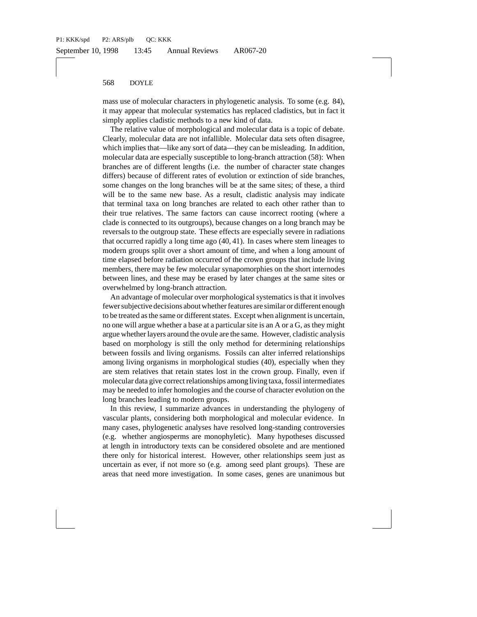mass use of molecular characters in phylogenetic analysis. To some (e.g. 84), it may appear that molecular systematics has replaced cladistics, but in fact it simply applies cladistic methods to a new kind of data.

The relative value of morphological and molecular data is a topic of debate. Clearly, molecular data are not infallible. Molecular data sets often disagree, which implies that—like any sort of data—they can be misleading. In addition, molecular data are especially susceptible to long-branch attraction (58): When branches are of different lengths (i.e. the number of character state changes differs) because of different rates of evolution or extinction of side branches, some changes on the long branches will be at the same sites; of these, a third will be to the same new base. As a result, cladistic analysis may indicate that terminal taxa on long branches are related to each other rather than to their true relatives. The same factors can cause incorrect rooting (where a clade is connected to its outgroups), because changes on a long branch may be reversals to the outgroup state. These effects are especially severe in radiations that occurred rapidly a long time ago (40, 41). In cases where stem lineages to modern groups split over a short amount of time, and when a long amount of time elapsed before radiation occurred of the crown groups that include living members, there may be few molecular synapomorphies on the short internodes between lines, and these may be erased by later changes at the same sites or overwhelmed by long-branch attraction.

An advantage of molecular over morphological systematics is that it involves fewer subjective decisions about whether features are similar or different enough to be treated as the same or different states. Except when alignment is uncertain, no one will argue whether a base at a particular site is an A or a G, as they might argue whether layers around the ovule are the same. However, cladistic analysis based on morphology is still the only method for determining relationships between fossils and living organisms. Fossils can alter inferred relationships among living organisms in morphological studies (40), especially when they are stem relatives that retain states lost in the crown group. Finally, even if molecular data give correct relationships among living taxa, fossil intermediates may be needed to infer homologies and the course of character evolution on the long branches leading to modern groups.

In this review, I summarize advances in understanding the phylogeny of vascular plants, considering both morphological and molecular evidence. In many cases, phylogenetic analyses have resolved long-standing controversies (e.g. whether angiosperms are monophyletic). Many hypotheses discussed at length in introductory texts can be considered obsolete and are mentioned there only for historical interest. However, other relationships seem just as uncertain as ever, if not more so (e.g. among seed plant groups). These are areas that need more investigation. In some cases, genes are unanimous but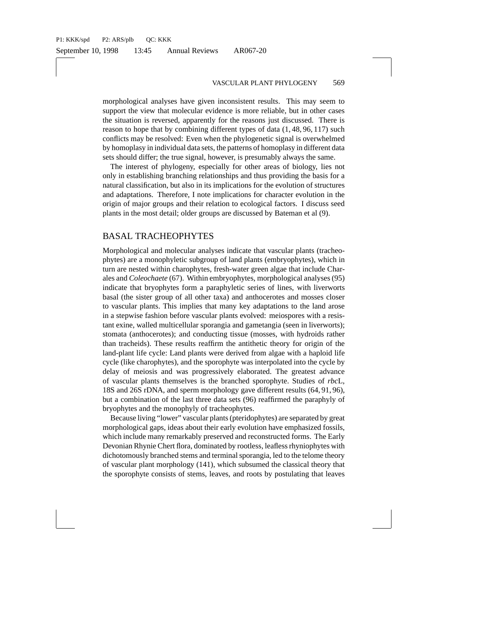morphological analyses have given inconsistent results. This may seem to support the view that molecular evidence is more reliable, but in other cases the situation is reversed, apparently for the reasons just discussed. There is reason to hope that by combining different types of data (1, 48, 96, 117) such conflicts may be resolved: Even when the phylogenetic signal is overwhelmed by homoplasy in individual data sets, the patterns of homoplasy in different data sets should differ; the true signal, however, is presumably always the same.

The interest of phylogeny, especially for other areas of biology, lies not only in establishing branching relationships and thus providing the basis for a natural classification, but also in its implications for the evolution of structures and adaptations. Therefore, I note implications for character evolution in the origin of major groups and their relation to ecological factors. I discuss seed plants in the most detail; older groups are discussed by Bateman et al (9).

### BASAL TRACHEOPHYTES

Morphological and molecular analyses indicate that vascular plants (tracheophytes) are a monophyletic subgroup of land plants (embryophytes), which in turn are nested within charophytes, fresh-water green algae that include Charales and *Coleochaete* (67). Within embryophytes, morphological analyses (95) indicate that bryophytes form a paraphyletic series of lines, with liverworts basal (the sister group of all other taxa) and anthocerotes and mosses closer to vascular plants. This implies that many key adaptations to the land arose in a stepwise fashion before vascular plants evolved: meiospores with a resistant exine, walled multicellular sporangia and gametangia (seen in liverworts); stomata (anthocerotes); and conducting tissue (mosses, with hydroids rather than tracheids). These results reaffirm the antithetic theory for origin of the land-plant life cycle: Land plants were derived from algae with a haploid life cycle (like charophytes), and the sporophyte was interpolated into the cycle by delay of meiosis and was progressively elaborated. The greatest advance of vascular plants themselves is the branched sporophyte. Studies of *rbc*L, 18S and 26S rDNA, and sperm morphology gave different results (64, 91, 96), but a combination of the last three data sets (96) reaffirmed the paraphyly of bryophytes and the monophyly of tracheophytes.

Because living "lower" vascular plants (pteridophytes) are separated by great morphological gaps, ideas about their early evolution have emphasized fossils, which include many remarkably preserved and reconstructed forms. The Early Devonian Rhynie Chert flora, dominated by rootless, leafless rhyniophytes with dichotomously branched stems and terminal sporangia, led to the telome theory of vascular plant morphology (141), which subsumed the classical theory that the sporophyte consists of stems, leaves, and roots by postulating that leaves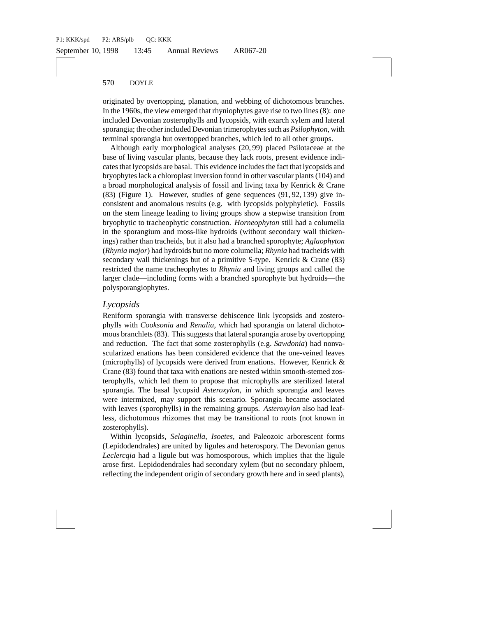originated by overtopping, planation, and webbing of dichotomous branches. In the 1960s, the view emerged that rhyniophytes gave rise to two lines (8): one included Devonian zosterophylls and lycopsids, with exarch xylem and lateral sporangia; the other included Devonian trimerophytes such as*Psilophyton*, with terminal sporangia but overtopped branches, which led to all other groups.

Although early morphological analyses (20, 99) placed Psilotaceae at the base of living vascular plants, because they lack roots, present evidence indicates that lycopsids are basal. This evidence includes the fact that lycopsids and bryophytes lack a chloroplast inversion found in other vascular plants (104) and a broad morphological analysis of fossil and living taxa by Kenrick & Crane (83) (Figure 1). However, studies of gene sequences (91, 92, 139) give inconsistent and anomalous results (e.g. with lycopsids polyphyletic). Fossils on the stem lineage leading to living groups show a stepwise transition from bryophytic to tracheophytic construction. *Horneophyton* still had a columella in the sporangium and moss-like hydroids (without secondary wall thickenings) rather than tracheids, but it also had a branched sporophyte; *Aglaophyton* (*Rhynia major*) had hydroids but no more columella; *Rhynia* had tracheids with secondary wall thickenings but of a primitive S-type. Kenrick & Crane (83) restricted the name tracheophytes to *Rhynia* and living groups and called the larger clade—including forms with a branched sporophyte but hydroids—the polysporangiophytes.

# *Lycopsids*

Reniform sporangia with transverse dehiscence link lycopsids and zosterophylls with *Cooksonia* and *Renalia*, which had sporangia on lateral dichotomous branchlets (83). This suggests that lateral sporangia arose by overtopping and reduction. The fact that some zosterophylls (e.g. *Sawdonia*) had nonvascularized enations has been considered evidence that the one-veined leaves (microphylls) of lycopsids were derived from enations. However, Kenrick & Crane (83) found that taxa with enations are nested within smooth-stemed zosterophylls, which led them to propose that microphylls are sterilized lateral sporangia. The basal lycopsid *Asteroxylon*, in which sporangia and leaves were intermixed, may support this scenario. Sporangia became associated with leaves (sporophylls) in the remaining groups. *Asteroxylon* also had leafless, dichotomous rhizomes that may be transitional to roots (not known in zosterophylls).

Within lycopsids, *Selaginella*, *Isoetes*, and Paleozoic arborescent forms (Lepidodendrales) are united by ligules and heterospory. The Devonian genus *Leclercqia* had a ligule but was homosporous, which implies that the ligule arose first. Lepidodendrales had secondary xylem (but no secondary phloem, reflecting the independent origin of secondary growth here and in seed plants),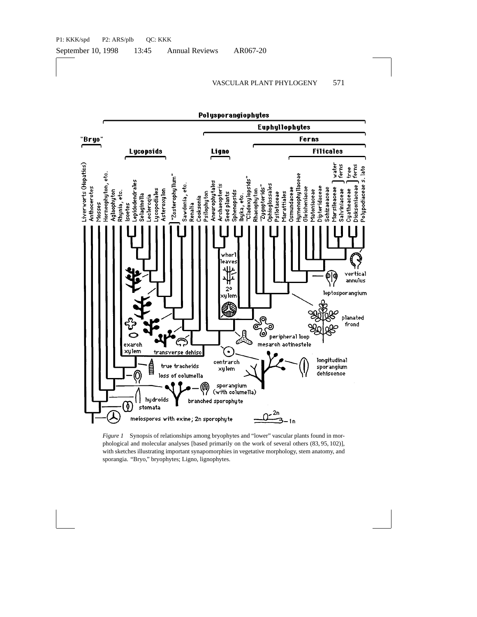**Polysporangiophytes** 



*Figure 1* Synopsis of relationships among bryophytes and "lower" vascular plants found in morphological and molecular analyses [based primarily on the work of several others (83, 95, 102)], with sketches illustrating important synapomorphies in vegetative morphology, stem anatomy, and sporangia. "Bryo," bryophytes; Ligno, lignophytes.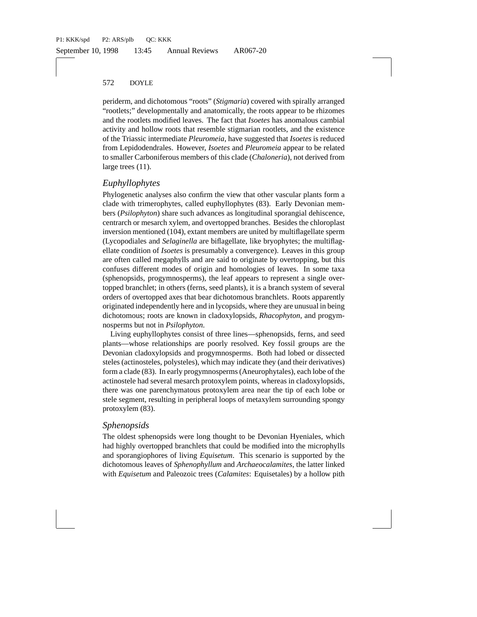periderm, and dichotomous "roots" (*Stigmaria*) covered with spirally arranged "rootlets;" developmentally and anatomically, the roots appear to be rhizomes and the rootlets modified leaves. The fact that *Isoetes* has anomalous cambial activity and hollow roots that resemble stigmarian rootlets, and the existence of the Triassic intermediate *Pleuromeia*, have suggested that *Isoetes* is reduced from Lepidodendrales. However, *Isoetes* and *Pleuromeia* appear to be related to smaller Carboniferous members of this clade (*Chaloneria*), not derived from large trees (11).

# *Euphyllophytes*

Phylogenetic analyses also confirm the view that other vascular plants form a clade with trimerophytes, called euphyllophytes (83). Early Devonian members (*Psilophyton*) share such advances as longitudinal sporangial dehiscence, centrarch or mesarch xylem, and overtopped branches. Besides the chloroplast inversion mentioned (104), extant members are united by multiflagellate sperm (Lycopodiales and *Selaginella* are biflagellate, like bryophytes; the multiflagellate condition of *Isoetes* is presumably a convergence). Leaves in this group are often called megaphylls and are said to originate by overtopping, but this confuses different modes of origin and homologies of leaves. In some taxa (sphenopsids, progymnosperms), the leaf appears to represent a single overtopped branchlet; in others (ferns, seed plants), it is a branch system of several orders of overtopped axes that bear dichotomous branchlets. Roots apparently originated independently here and in lycopsids, where they are unusual in being dichotomous; roots are known in cladoxylopsids, *Rhacophyton*, and progymnosperms but not in *Psilophyton*.

Living euphyllophytes consist of three lines—sphenopsids, ferns, and seed plants—whose relationships are poorly resolved. Key fossil groups are the Devonian cladoxylopsids and progymnosperms. Both had lobed or dissected steles (actinosteles, polysteles), which may indicate they (and their derivatives) form a clade (83). In early progymnosperms (Aneurophytales), each lobe of the actinostele had several mesarch protoxylem points, whereas in cladoxylopsids, there was one parenchymatous protoxylem area near the tip of each lobe or stele segment, resulting in peripheral loops of metaxylem surrounding spongy protoxylem (83).

# *Sphenopsids*

The oldest sphenopsids were long thought to be Devonian Hyeniales, which had highly overtopped branchlets that could be modified into the microphylls and sporangiophores of living *Equisetum*. This scenario is supported by the dichotomous leaves of *Sphenophyllum* and *Archaeocalamites*, the latter linked with *Equisetum* and Paleozoic trees (*Calamites*: Equisetales) by a hollow pith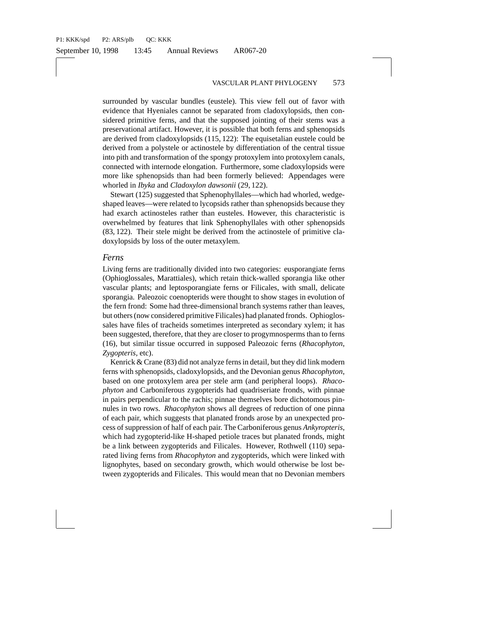surrounded by vascular bundles (eustele). This view fell out of favor with evidence that Hyeniales cannot be separated from cladoxylopsids, then considered primitive ferns, and that the supposed jointing of their stems was a preservational artifact. However, it is possible that both ferns and sphenopsids are derived from cladoxylopsids (115, 122): The equisetalian eustele could be derived from a polystele or actinostele by differentiation of the central tissue into pith and transformation of the spongy protoxylem into protoxylem canals, connected with internode elongation. Furthermore, some cladoxylopsids were more like sphenopsids than had been formerly believed: Appendages were whorled in *Ibyka* and *Cladoxylon dawsonii* (29, 122).

Stewart (125) suggested that Sphenophyllales—which had whorled, wedgeshaped leaves—were related to lycopsids rather than sphenopsids because they had exarch actinosteles rather than eusteles. However, this characteristic is overwhelmed by features that link Sphenophyllales with other sphenopsids (83, 122). Their stele might be derived from the actinostele of primitive cladoxylopsids by loss of the outer metaxylem.

### *Ferns*

Living ferns are traditionally divided into two categories: eusporangiate ferns (Ophioglossales, Marattiales), which retain thick-walled sporangia like other vascular plants; and leptosporangiate ferns or Filicales, with small, delicate sporangia. Paleozoic coenopterids were thought to show stages in evolution of the fern frond: Some had three-dimensional branch systems rather than leaves, but others (now considered primitive Filicales) had planated fronds. Ophioglossales have files of tracheids sometimes interpreted as secondary xylem; it has been suggested, therefore, that they are closer to progymnosperms than to ferns (16), but similar tissue occurred in supposed Paleozoic ferns (*Rhacophyton*, *Zygopteris*, etc).

Kenrick & Crane (83) did not analyze ferns in detail, but they did link modern ferns with sphenopsids, cladoxylopsids, and the Devonian genus *Rhacophyton*, based on one protoxylem area per stele arm (and peripheral loops). *Rhacophyton* and Carboniferous zygopterids had quadriseriate fronds, with pinnae in pairs perpendicular to the rachis; pinnae themselves bore dichotomous pinnules in two rows. *Rhacophyton* shows all degrees of reduction of one pinna of each pair, which suggests that planated fronds arose by an unexpected process of suppression of half of each pair. The Carboniferous genus *Ankyropteris*, which had zygopterid-like H-shaped petiole traces but planated fronds, might be a link between zygopterids and Filicales. However, Rothwell (110) separated living ferns from *Rhacophyton* and zygopterids, which were linked with lignophytes, based on secondary growth, which would otherwise be lost between zygopterids and Filicales. This would mean that no Devonian members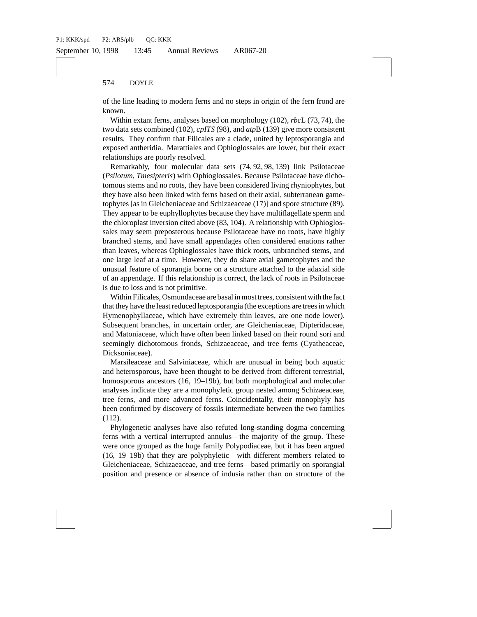of the line leading to modern ferns and no steps in origin of the fern frond are known.

Within extant ferns, analyses based on morphology (102), *rbc*L (73, 74), the two data sets combined (102), *cpITS* (98), and *atp*B (139) give more consistent results. They confirm that Filicales are a clade, united by leptosporangia and exposed antheridia. Marattiales and Ophioglossales are lower, but their exact relationships are poorly resolved.

Remarkably, four molecular data sets (74, 92, 98, 139) link Psilotaceae (*Psilotum*, *Tmesipteris*) with Ophioglossales. Because Psilotaceae have dichotomous stems and no roots, they have been considered living rhyniophytes, but they have also been linked with ferns based on their axial, subterranean gametophytes [as in Gleicheniaceae and Schizaeaceae (17)] and spore structure (89). They appear to be euphyllophytes because they have multiflagellate sperm and the chloroplast inversion cited above (83, 104). A relationship with Ophioglossales may seem preposterous because Psilotaceae have no roots, have highly branched stems, and have small appendages often considered enations rather than leaves, whereas Ophioglossales have thick roots, unbranched stems, and one large leaf at a time. However, they do share axial gametophytes and the unusual feature of sporangia borne on a structure attached to the adaxial side of an appendage. If this relationship is correct, the lack of roots in Psilotaceae is due to loss and is not primitive.

Within Filicales, Osmundaceae are basal in most trees, consistent with the fact that they have the least reduced leptosporangia (the exceptions are trees in which Hymenophyllaceae, which have extremely thin leaves, are one node lower). Subsequent branches, in uncertain order, are Gleicheniaceae, Dipteridaceae, and Matoniaceae, which have often been linked based on their round sori and seemingly dichotomous fronds, Schizaeaceae, and tree ferns (Cyatheaceae, Dicksoniaceae).

Marsileaceae and Salviniaceae, which are unusual in being both aquatic and heterosporous, have been thought to be derived from different terrestrial, homosporous ancestors (16, 19–19b), but both morphological and molecular analyses indicate they are a monophyletic group nested among Schizaeaceae, tree ferns, and more advanced ferns. Coincidentally, their monophyly has been confirmed by discovery of fossils intermediate between the two families (112).

Phylogenetic analyses have also refuted long-standing dogma concerning ferns with a vertical interrupted annulus—the majority of the group. These were once grouped as the huge family Polypodiaceae, but it has been argued (16, 19–19b) that they are polyphyletic—with different members related to Gleicheniaceae, Schizaeaceae, and tree ferns—based primarily on sporangial position and presence or absence of indusia rather than on structure of the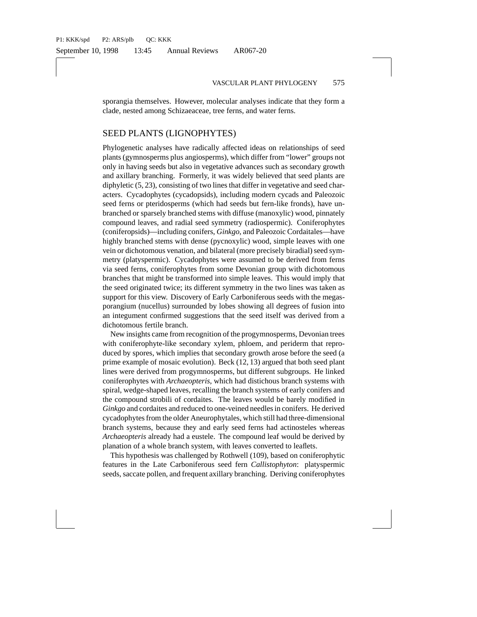sporangia themselves. However, molecular analyses indicate that they form a clade, nested among Schizaeaceae, tree ferns, and water ferns.

### SEED PLANTS (LIGNOPHYTES)

Phylogenetic analyses have radically affected ideas on relationships of seed plants (gymnosperms plus angiosperms), which differ from "lower" groups not only in having seeds but also in vegetative advances such as secondary growth and axillary branching. Formerly, it was widely believed that seed plants are diphyletic (5, 23), consisting of two lines that differ in vegetative and seed characters. Cycadophytes (cycadopsids), including modern cycads and Paleozoic seed ferns or pteridosperms (which had seeds but fern-like fronds), have unbranched or sparsely branched stems with diffuse (manoxylic) wood, pinnately compound leaves, and radial seed symmetry (radiospermic). Coniferophytes (coniferopsids)—including conifers, *Ginkgo*, and Paleozoic Cordaitales—have highly branched stems with dense (pycnoxylic) wood, simple leaves with one vein or dichotomous venation, and bilateral (more precisely biradial) seed symmetry (platyspermic). Cycadophytes were assumed to be derived from ferns via seed ferns, coniferophytes from some Devonian group with dichotomous branches that might be transformed into simple leaves. This would imply that the seed originated twice; its different symmetry in the two lines was taken as support for this view. Discovery of Early Carboniferous seeds with the megasporangium (nucellus) surrounded by lobes showing all degrees of fusion into an integument confirmed suggestions that the seed itself was derived from a dichotomous fertile branch.

New insights came from recognition of the progymnosperms, Devonian trees with coniferophyte-like secondary xylem, phloem, and periderm that reproduced by spores, which implies that secondary growth arose before the seed (a prime example of mosaic evolution). Beck (12, 13) argued that both seed plant lines were derived from progymnosperms, but different subgroups. He linked coniferophytes with *Archaeopteris*, which had distichous branch systems with spiral, wedge-shaped leaves, recalling the branch systems of early conifers and the compound strobili of cordaites. The leaves would be barely modified in *Ginkgo* and cordaites and reduced to one-veined needles in conifers. He derived cycadophytes from the older Aneurophytales, which still had three-dimensional branch systems, because they and early seed ferns had actinosteles whereas *Archaeopteris* already had a eustele. The compound leaf would be derived by planation of a whole branch system, with leaves converted to leaflets.

This hypothesis was challenged by Rothwell (109), based on coniferophytic features in the Late Carboniferous seed fern *Callistophyton*: platyspermic seeds, saccate pollen, and frequent axillary branching. Deriving coniferophytes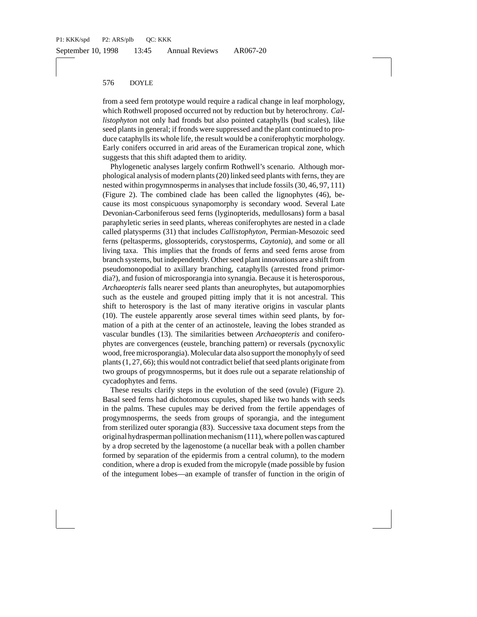from a seed fern prototype would require a radical change in leaf morphology, which Rothwell proposed occurred not by reduction but by heterochrony. *Callistophyton* not only had fronds but also pointed cataphylls (bud scales), like seed plants in general; if fronds were suppressed and the plant continued to produce cataphylls its whole life, the result would be a coniferophytic morphology. Early conifers occurred in arid areas of the Euramerican tropical zone, which suggests that this shift adapted them to aridity.

Phylogenetic analyses largely confirm Rothwell's scenario. Although morphological analysis of modern plants (20) linked seed plants with ferns, they are nested within progymnosperms in analyses that include fossils (30, 46, 97, 111) (Figure 2). The combined clade has been called the lignophytes (46), because its most conspicuous synapomorphy is secondary wood. Several Late Devonian-Carboniferous seed ferns (lyginopterids, medullosans) form a basal paraphyletic series in seed plants, whereas coniferophytes are nested in a clade called platysperms (31) that includes *Callistophyton*, Permian-Mesozoic seed ferns (peltasperms, glossopterids, corystosperms, *Caytonia*), and some or all living taxa. This implies that the fronds of ferns and seed ferns arose from branch systems, but independently. Other seed plant innovations are a shift from pseudomonopodial to axillary branching, cataphylls (arrested frond primordia?), and fusion of microsporangia into synangia. Because it is heterosporous, *Archaeopteris* falls nearer seed plants than aneurophytes, but autapomorphies such as the eustele and grouped pitting imply that it is not ancestral. This shift to heterospory is the last of many iterative origins in vascular plants (10). The eustele apparently arose several times within seed plants, by formation of a pith at the center of an actinostele, leaving the lobes stranded as vascular bundles (13). The similarities between *Archaeopteris* and coniferophytes are convergences (eustele, branching pattern) or reversals (pycnoxylic wood, free microsporangia). Molecular data also support the monophyly of seed plants (1, 27, 66); this would not contradict belief that seed plants originate from two groups of progymnosperms, but it does rule out a separate relationship of cycadophytes and ferns.

These results clarify steps in the evolution of the seed (ovule) (Figure 2). Basal seed ferns had dichotomous cupules, shaped like two hands with seeds in the palms. These cupules may be derived from the fertile appendages of progymnosperms, the seeds from groups of sporangia, and the integument from sterilized outer sporangia (83). Successive taxa document steps from the original hydrasperman pollination mechanism (111), where pollen was captured by a drop secreted by the lagenostome (a nucellar beak with a pollen chamber formed by separation of the epidermis from a central column), to the modern condition, where a drop is exuded from the micropyle (made possible by fusion of the integument lobes—an example of transfer of function in the origin of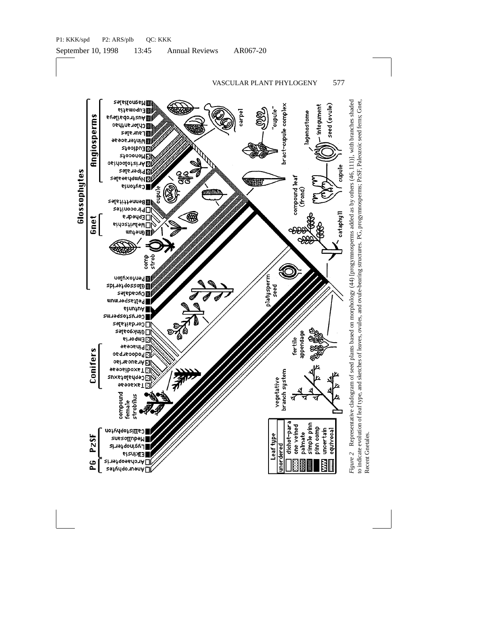

to indicate evolution of leaf type, and sketches of leaves, ovules, and ovule-bearing structures. PG, progymnosperms; PzSF, Paleozoic seed ferns; Gnet, to indicate evolution of leaf type, and sketches of leaves, ovules, and ovule-bearing structures. PG, progymnosperms; PzSF, Paleozoic seed ferns; Gnet, Recent Gnetales. Recent Gnetales.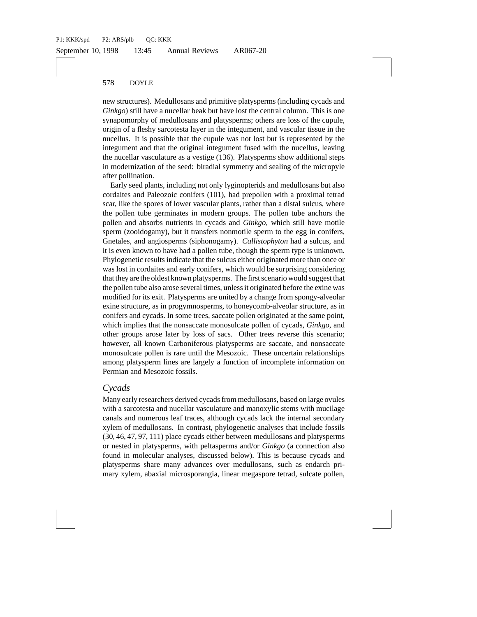new structures). Medullosans and primitive platysperms (including cycads and *Ginkgo*) still have a nucellar beak but have lost the central column. This is one synapomorphy of medullosans and platysperms; others are loss of the cupule, origin of a fleshy sarcotesta layer in the integument, and vascular tissue in the nucellus. It is possible that the cupule was not lost but is represented by the integument and that the original integument fused with the nucellus, leaving the nucellar vasculature as a vestige (136). Platysperms show additional steps in modernization of the seed: biradial symmetry and sealing of the micropyle after pollination.

Early seed plants, including not only lyginopterids and medullosans but also cordaites and Paleozoic conifers (101), had prepollen with a proximal tetrad scar, like the spores of lower vascular plants, rather than a distal sulcus, where the pollen tube germinates in modern groups. The pollen tube anchors the pollen and absorbs nutrients in cycads and *Ginkgo*, which still have motile sperm (zooidogamy), but it transfers nonmotile sperm to the egg in conifers, Gnetales, and angiosperms (siphonogamy). *Callistophyton* had a sulcus, and it is even known to have had a pollen tube, though the sperm type is unknown. Phylogenetic results indicate that the sulcus either originated more than once or was lost in cordaites and early conifers, which would be surprising considering that they are the oldest known platysperms. The first scenario would suggest that the pollen tube also arose several times, unless it originated before the exine was modified for its exit. Platysperms are united by a change from spongy-alveolar exine structure, as in progymnosperms, to honeycomb-alveolar structure, as in conifers and cycads. In some trees, saccate pollen originated at the same point, which implies that the nonsaccate monosulcate pollen of cycads, *Ginkgo*, and other groups arose later by loss of sacs. Other trees reverse this scenario; however, all known Carboniferous platysperms are saccate, and nonsaccate monosulcate pollen is rare until the Mesozoic. These uncertain relationships among platysperm lines are largely a function of incomplete information on Permian and Mesozoic fossils.

# *Cycads*

Many early researchers derived cycads from medullosans, based on large ovules with a sarcotesta and nucellar vasculature and manoxylic stems with mucilage canals and numerous leaf traces, although cycads lack the internal secondary xylem of medullosans. In contrast, phylogenetic analyses that include fossils (30, 46, 47, 97, 111) place cycads either between medullosans and platysperms or nested in platysperms, with peltasperms and/or *Ginkgo* (a connection also found in molecular analyses, discussed below). This is because cycads and platysperms share many advances over medullosans, such as endarch primary xylem, abaxial microsporangia, linear megaspore tetrad, sulcate pollen,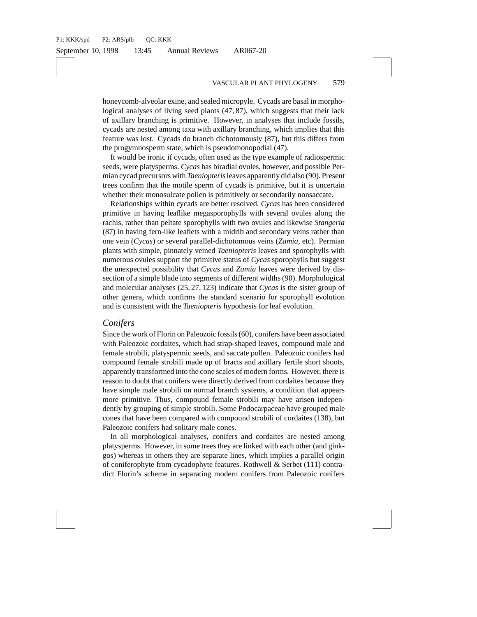honeycomb-alveolar exine, and sealed micropyle. Cycads are basal in morphological analyses of living seed plants (47, 87), which suggests that their lack of axillary branching is primitive. However, in analyses that include fossils, cycads are nested among taxa with axillary branching, which implies that this feature was lost. Cycads do branch dichotomously (87), but this differs from the progymnosperm state, which is pseudomonopodial (47).

It would be ironic if cycads, often used as the type example of radiospermic seeds, were platysperms. *Cycas* has biradial ovules, however, and possible Permian cycad precursors with *Taeniopteris*leaves apparently did also (90). Present trees confirm that the motile sperm of cycads is primitive, but it is uncertain whether their monosulcate pollen is primitively or secondarily nonsaccate.

Relationships within cycads are better resolved. *Cycas* has been considered primitive in having leaflike megasporophylls with several ovules along the rachis, rather than peltate sporophylls with two ovules and likewise *Stangeria* (87) in having fern-like leaflets with a midrib and secondary veins rather than one vein (*Cycas*) or several parallel-dichotomous veins (*Zamia*, etc). Permian plants with simple, pinnately veined *Taeniopteris* leaves and sporophylls with numerous ovules support the primitive status of *Cycas* sporophylls but suggest the unexpected possibility that *Cycas* and *Zamia* leaves were derived by dissection of a simple blade into segments of different widths (90). Morphological and molecular analyses (25, 27, 123) indicate that *Cycas* is the sister group of other genera, which confirms the standard scenario for sporophyll evolution and is consistent with the *Taeniopteris* hypothesis for leaf evolution.

#### *Conifers*

Since the work of Florin on Paleozoic fossils (60), conifers have been associated with Paleozoic cordaites, which had strap-shaped leaves, compound male and female strobili, platyspermic seeds, and saccate pollen. Paleozoic conifers had compound female strobili made up of bracts and axillary fertile short shoots, apparently transformed into the cone scales of modern forms. However, there is reason to doubt that conifers were directly derived from cordaites because they have simple male strobili on normal branch systems, a condition that appears more primitive. Thus, compound female strobili may have arisen independently by grouping of simple strobili. Some Podocarpaceae have grouped male cones that have been compared with compound strobili of cordaites (138), but Paleozoic conifers had solitary male cones.

In all morphological analyses, conifers and cordaites are nested among platysperms. However, in some trees they are linked with each other (and ginkgos) whereas in others they are separate lines, which implies a parallel origin of coniferophyte from cycadophyte features. Rothwell & Serbet (111) contradict Florin's scheme in separating modern conifers from Paleozoic conifers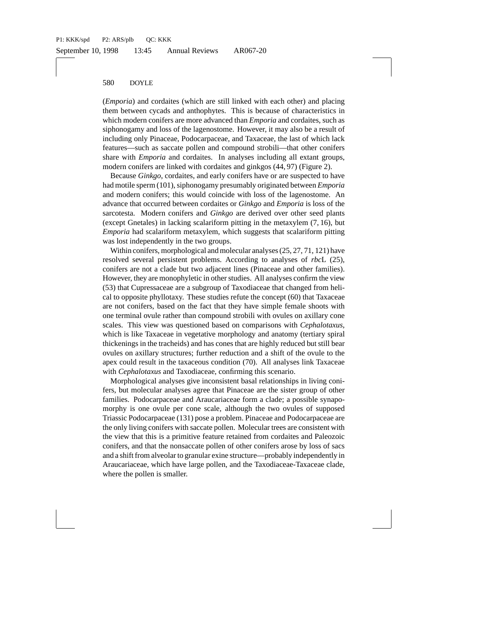(*Emporia*) and cordaites (which are still linked with each other) and placing them between cycads and anthophytes. This is because of characteristics in which modern conifers are more advanced than *Emporia* and cordaites, such as siphonogamy and loss of the lagenostome. However, it may also be a result of including only Pinaceae, Podocarpaceae, and Taxaceae, the last of which lack features—such as saccate pollen and compound strobili—that other conifers share with *Emporia* and cordaites. In analyses including all extant groups, modern conifers are linked with cordaites and ginkgos (44, 97) (Figure 2).

Because *Ginkgo*, cordaites, and early conifers have or are suspected to have had motile sperm (101), siphonogamy presumably originated between *Emporia* and modern conifers; this would coincide with loss of the lagenostome. An advance that occurred between cordaites or *Ginkgo* and *Emporia* is loss of the sarcotesta. Modern conifers and *Ginkgo* are derived over other seed plants (except Gnetales) in lacking scalariform pitting in the metaxylem (7, 16), but *Emporia* had scalariform metaxylem, which suggests that scalariform pitting was lost independently in the two groups.

Within conifers, morphological and molecular analyses (25, 27, 71, 121) have resolved several persistent problems. According to analyses of *rbc*L (25), conifers are not a clade but two adjacent lines (Pinaceae and other families). However, they are monophyletic in other studies. All analyses confirm the view (53) that Cupressaceae are a subgroup of Taxodiaceae that changed from helical to opposite phyllotaxy. These studies refute the concept (60) that Taxaceae are not conifers, based on the fact that they have simple female shoots with one terminal ovule rather than compound strobili with ovules on axillary cone scales. This view was questioned based on comparisons with *Cephalotaxus*, which is like Taxaceae in vegetative morphology and anatomy (tertiary spiral thickenings in the tracheids) and has cones that are highly reduced but still bear ovules on axillary structures; further reduction and a shift of the ovule to the apex could result in the taxaceous condition (70). All analyses link Taxaceae with *Cephalotaxus* and Taxodiaceae, confirming this scenario.

Morphological analyses give inconsistent basal relationships in living conifers, but molecular analyses agree that Pinaceae are the sister group of other families. Podocarpaceae and Araucariaceae form a clade; a possible synapomorphy is one ovule per cone scale, although the two ovules of supposed Triassic Podocarpaceae (131) pose a problem. Pinaceae and Podocarpaceae are the only living conifers with saccate pollen. Molecular trees are consistent with the view that this is a primitive feature retained from cordaites and Paleozoic conifers, and that the nonsaccate pollen of other conifers arose by loss of sacs and a shift from alveolar to granular exine structure—probably independently in Araucariaceae, which have large pollen, and the Taxodiaceae-Taxaceae clade, where the pollen is smaller.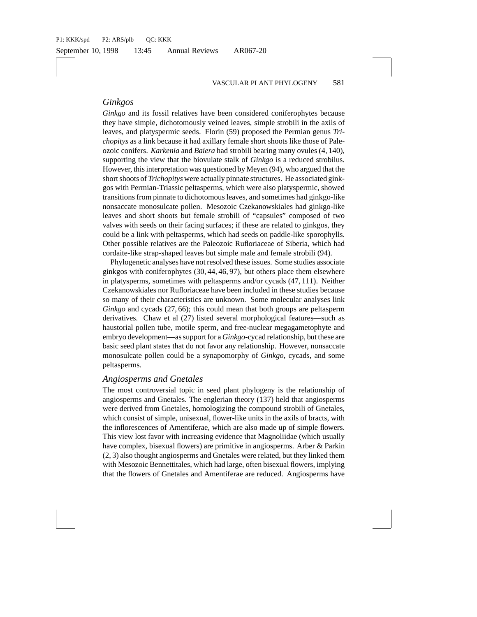### *Ginkgos*

*Ginkgo* and its fossil relatives have been considered coniferophytes because they have simple, dichotomously veined leaves, simple strobili in the axils of leaves, and platyspermic seeds. Florin (59) proposed the Permian genus *Trichopitys* as a link because it had axillary female short shoots like those of Paleozoic conifers. *Karkenia* and *Baiera* had strobili bearing many ovules (4, 140), supporting the view that the biovulate stalk of *Ginkgo* is a reduced strobilus. However, this interpretation was questioned by Meyen (94), who argued that the short shoots of *Trichopitys* were actually pinnate structures. He associated ginkgos with Permian-Triassic peltasperms, which were also platyspermic, showed transitions from pinnate to dichotomous leaves, and sometimes had ginkgo-like nonsaccate monosulcate pollen. Mesozoic Czekanowskiales had ginkgo-like leaves and short shoots but female strobili of "capsules" composed of two valves with seeds on their facing surfaces; if these are related to ginkgos, they could be a link with peltasperms, which had seeds on paddle-like sporophylls. Other possible relatives are the Paleozoic Rufloriaceae of Siberia, which had cordaite-like strap-shaped leaves but simple male and female strobili (94).

Phylogenetic analyses have not resolved these issues. Some studies associate ginkgos with coniferophytes (30, 44, 46, 97), but others place them elsewhere in platysperms, sometimes with peltasperms and/or cycads (47, 111). Neither Czekanowskiales nor Rufloriaceae have been included in these studies because so many of their characteristics are unknown. Some molecular analyses link *Ginkgo* and cycads (27, 66); this could mean that both groups are peltasperm derivatives. Chaw et al (27) listed several morphological features—such as haustorial pollen tube, motile sperm, and free-nuclear megagametophyte and embryo development—as support for a *Ginkgo*-cycad relationship, but these are basic seed plant states that do not favor any relationship. However, nonsaccate monosulcate pollen could be a synapomorphy of *Ginkgo*, cycads, and some peltasperms.

## *Angiosperms and Gnetales*

The most controversial topic in seed plant phylogeny is the relationship of angiosperms and Gnetales. The englerian theory (137) held that angiosperms were derived from Gnetales, homologizing the compound strobili of Gnetales, which consist of simple, unisexual, flower-like units in the axils of bracts, with the inflorescences of Amentiferae, which are also made up of simple flowers. This view lost favor with increasing evidence that Magnoliidae (which usually have complex, bisexual flowers) are primitive in angiosperms. Arber & Parkin (2, 3) also thought angiosperms and Gnetales were related, but they linked them with Mesozoic Bennettitales, which had large, often bisexual flowers, implying that the flowers of Gnetales and Amentiferae are reduced. Angiosperms have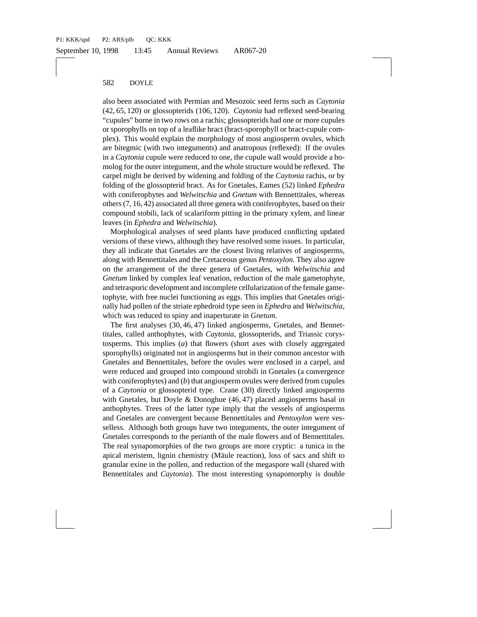also been associated with Permian and Mesozoic seed ferns such as *Caytonia* (42, 65, 120) or glossopterids (106, 120). *Caytonia* had reflexed seed-bearing "cupules" borne in two rows on a rachis; glossopterids had one or more cupules or sporophylls on top of a leaflike bract (bract-sporophyll or bract-cupule complex). This would explain the morphology of most angiosperm ovules, which are bitegmic (with two integuments) and anatropous (reflexed): If the ovules in a *Caytonia* cupule were reduced to one, the cupule wall would provide a homolog for the outer integument, and the whole structure would be reflexed. The carpel might be derived by widening and folding of the *Caytonia* rachis, or by folding of the glossopterid bract. As for Gnetales, Eames (52) linked *Ephedra* with coniferophytes and *Welwitschia* and *Gnetum* with Bennettitales, whereas others (7, 16, 42) associated all three genera with coniferophytes, based on their compound stobili, lack of scalariform pitting in the primary xylem, and linear leaves (in *Ephedra* and *Welwitschia*).

Morphological analyses of seed plants have produced conflicting updated versions of these views, although they have resolved some issues. In particular, they all indicate that Gnetales are the closest living relatives of angiosperms, along with Bennettitales and the Cretaceous genus *Pentoxylon*. They also agree on the arrangement of the three genera of Gnetales, with *Welwitschia* and *Gnetum* linked by complex leaf venation, reduction of the male gametophyte, and tetrasporic development and incomplete cellularization of the female gametophyte, with free nuclei functioning as eggs. This implies that Gnetales originally had pollen of the striate ephedroid type seen in *Ephedra* and *Welwitschia*, which was reduced to spiny and inaperturate in *Gnetum*.

The first analyses (30, 46, 47) linked angiosperms, Gnetales, and Bennettitales, called anthophytes, with *Caytonia*, glossopterids, and Triassic corystosperms. This implies (*a*) that flowers (short axes with closely aggregated sporophylls) originated not in angiosperms but in their common ancestor with Gnetales and Bennettitales, before the ovules were enclosed in a carpel, and were reduced and grouped into compound strobili in Gnetales (a convergence with coniferophytes) and (*b*) that angiosperm ovules were derived from cupules of a *Caytonia* or glossopterid type. Crane (30) directly linked angiosperms with Gnetales, but Doyle & Donoghue (46,47) placed angiosperms basal in anthophytes. Trees of the latter type imply that the vessels of angiosperms and Gnetales are convergent because Bennettitales and *Pentoxylon* were vesselless. Although both groups have two integuments, the outer integument of Gnetales corresponds to the perianth of the male flowers and of Bennettitales. The real synapomorphies of the two groups are more cryptic: a tunica in the apical meristem, lignin chemistry (Mäule reaction), loss of sacs and shift to granular exine in the pollen, and reduction of the megaspore wall (shared with Bennettitales and *Caytonia*). The most interesting synapomorphy is double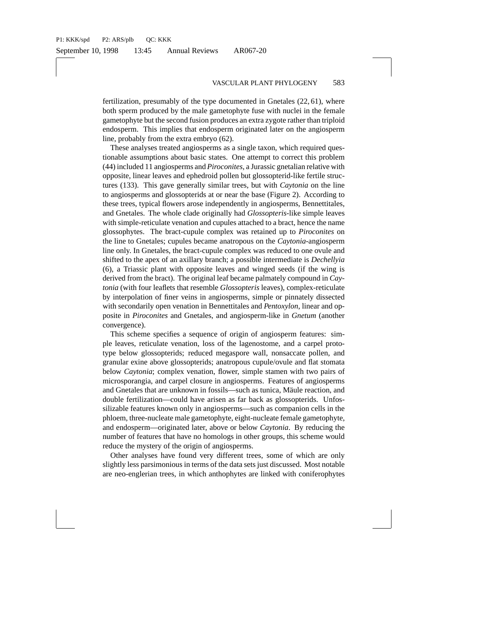fertilization, presumably of the type documented in Gnetales (22, 61), where both sperm produced by the male gametophyte fuse with nuclei in the female gametophyte but the second fusion produces an extra zygote rather than triploid endosperm. This implies that endosperm originated later on the angiosperm line, probably from the extra embryo (62).

These analyses treated angiosperms as a single taxon, which required questionable assumptions about basic states. One attempt to correct this problem (44) included 11 angiosperms and *Piroconites*, a Jurassic gnetalian relative with opposite, linear leaves and ephedroid pollen but glossopterid-like fertile structures (133). This gave generally similar trees, but with *Caytonia* on the line to angiosperms and glossopterids at or near the base (Figure 2). According to these trees, typical flowers arose independently in angiosperms, Bennettitales, and Gnetales. The whole clade originally had *Glossopteris*-like simple leaves with simple-reticulate venation and cupules attached to a bract, hence the name glossophytes. The bract-cupule complex was retained up to *Piroconites* on the line to Gnetales; cupules became anatropous on the *Caytonia*-angiosperm line only. In Gnetales, the bract-cupule complex was reduced to one ovule and shifted to the apex of an axillary branch; a possible intermediate is *Dechellyia* (6), a Triassic plant with opposite leaves and winged seeds (if the wing is derived from the bract). The original leaf became palmately compound in *Caytonia* (with four leaflets that resemble *Glossopteris* leaves), complex-reticulate by interpolation of finer veins in angiosperms, simple or pinnately dissected with secondarily open venation in Bennettitales and *Pentoxylon*, linear and opposite in *Piroconites* and Gnetales, and angiosperm-like in *Gnetum* (another convergence).

This scheme specifies a sequence of origin of angiosperm features: simple leaves, reticulate venation, loss of the lagenostome, and a carpel prototype below glossopterids; reduced megaspore wall, nonsaccate pollen, and granular exine above glossopterids; anatropous cupule/ovule and flat stomata below *Caytonia*; complex venation, flower, simple stamen with two pairs of microsporangia, and carpel closure in angiosperms. Features of angiosperms and Gnetales that are unknown in fossils—such as tunica, Mäule reaction, and double fertilization—could have arisen as far back as glossopterids. Unfossilizable features known only in angiosperms—such as companion cells in the phloem, three-nucleate male gametophyte, eight-nucleate female gametophyte, and endosperm—originated later, above or below *Caytonia*. By reducing the number of features that have no homologs in other groups, this scheme would reduce the mystery of the origin of angiosperms.

Other analyses have found very different trees, some of which are only slightly less parsimonious in terms of the data sets just discussed. Most notable are neo-englerian trees, in which anthophytes are linked with coniferophytes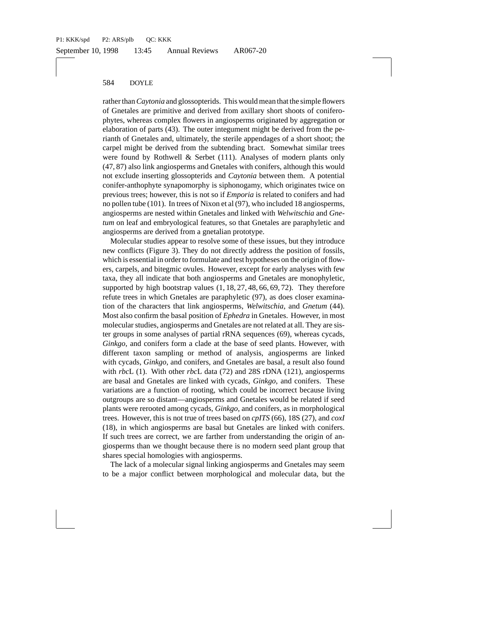rather than*Caytonia* and glossopterids. This would mean that the simple flowers of Gnetales are primitive and derived from axillary short shoots of coniferophytes, whereas complex flowers in angiosperms originated by aggregation or elaboration of parts (43). The outer integument might be derived from the perianth of Gnetales and, ultimately, the sterile appendages of a short shoot; the carpel might be derived from the subtending bract. Somewhat similar trees were found by Rothwell & Serbet (111). Analyses of modern plants only (47, 87) also link angiosperms and Gnetales with conifers, although this would not exclude inserting glossopterids and *Caytonia* between them. A potential conifer-anthophyte synapomorphy is siphonogamy, which originates twice on previous trees; however, this is not so if *Emporia* is related to conifers and had no pollen tube (101). In trees of Nixon et al (97), who included 18 angiosperms, angiosperms are nested within Gnetales and linked with *Welwitschia* and *Gnetum* on leaf and embryological features, so that Gnetales are paraphyletic and angiosperms are derived from a gnetalian prototype.

Molecular studies appear to resolve some of these issues, but they introduce new conflicts (Figure 3). They do not directly address the position of fossils, which is essential in order to formulate and test hypotheses on the origin of flowers, carpels, and bitegmic ovules. However, except for early analyses with few taxa, they all indicate that both angiosperms and Gnetales are monophyletic, supported by high bootstrap values (1, 18, 27, 48, 66, 69, 72). They therefore refute trees in which Gnetales are paraphyletic (97), as does closer examination of the characters that link angiosperms, *Welwitschia*, and *Gnetum* (44). Most also confirm the basal position of *Ephedra* in Gnetales. However, in most molecular studies, angiosperms and Gnetales are not related at all. They are sister groups in some analyses of partial rRNA sequences (69), whereas cycads, *Ginkgo*, and conifers form a clade at the base of seed plants. However, with different taxon sampling or method of analysis, angiosperms are linked with cycads, *Ginkgo*, and conifers, and Gnetales are basal, a result also found with *rbc*L (1). With other *rbc*L data (72) and 28S rDNA (121), angiosperms are basal and Gnetales are linked with cycads, *Ginkgo*, and conifers. These variations are a function of rooting, which could be incorrect because living outgroups are so distant—angiosperms and Gnetales would be related if seed plants were rerooted among cycads, *Ginkgo*, and conifers, as in morphological trees. However, this is not true of trees based on *cpITS* (66), 18S (27), and *coxI* (18), in which angiosperms are basal but Gnetales are linked with conifers. If such trees are correct, we are farther from understanding the origin of angiosperms than we thought because there is no modern seed plant group that shares special homologies with angiosperms.

The lack of a molecular signal linking angiosperms and Gnetales may seem to be a major conflict between morphological and molecular data, but the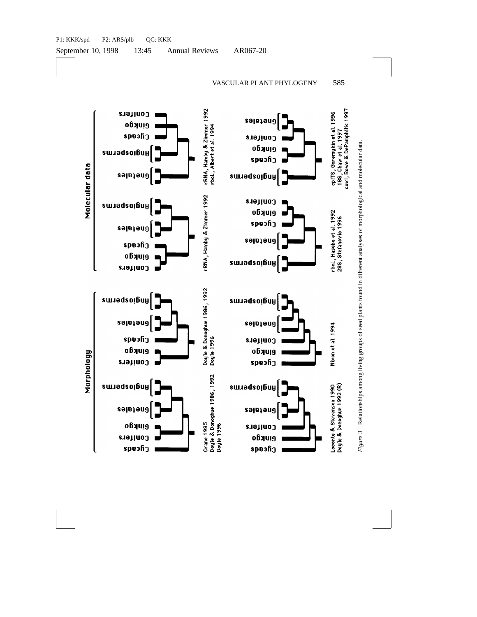

Figure 3 Relationships among living groups of seed plants found in different analyses of morphological and molecular data. *Figure 3* Relationships among living groups of seed plants found in different analyses of morphological and molecular data.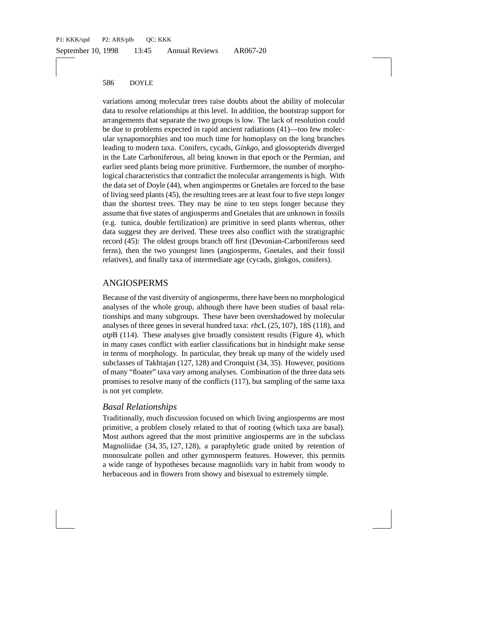variations among molecular trees raise doubts about the ability of molecular data to resolve relationships at this level. In addition, the bootstrap support for arrangements that separate the two groups is low. The lack of resolution could be due to problems expected in rapid ancient radiations (41)—too few molecular synapomorphies and too much time for homoplasy on the long branches leading to modern taxa. Conifers, cycads, *Ginkgo*, and glossopterids diverged in the Late Carboniferous, all being known in that epoch or the Permian, and earlier seed plants being more primitive. Furthermore, the number of morphological characteristics that contradict the molecular arrangements is high. With the data set of Doyle (44), when angiosperms or Gnetales are forced to the base of living seed plants (45), the resulting trees are at least four to five steps longer than the shortest trees. They may be nine to ten steps longer because they assume that five states of angiosperms and Gnetales that are unknown in fossils (e.g. tunica, double fertilization) are primitive in seed plants whereas, other data suggest they are derived. These trees also conflict with the stratigraphic record (45): The oldest groups branch off first (Devonian-Carboniferous seed ferns), then the two youngest lines (angiosperms, Gnetales, and their fossil relatives), and finally taxa of intermediate age (cycads, ginkgos, conifers).

# ANGIOSPERMS

Because of the vast diversity of angiosperms, there have been no morphological analyses of the whole group, although there have been studies of basal relationships and many subgroups. These have been overshadowed by molecular analyses of three genes in several hundred taxa: *rbc*L (25, 107), 18S (118), and *atp*B (114). These analyses give broadly consistent results (Figure 4), which in many cases conflict with earlier classifications but in hindsight make sense in terms of morphology. In particular, they break up many of the widely used subclasses of Takhtajan (127, 128) and Cronquist (34, 35). However, positions of many "floater" taxa vary among analyses. Combination of the three data sets promises to resolve many of the conflicts (117), but sampling of the same taxa is not yet complete.

# *Basal Relationships*

Traditionally, much discussion focused on which living angiosperms are most primitive, a problem closely related to that of rooting (which taxa are basal). Most authors agreed that the most primitive angiosperms are in the subclass Magnoliidae (34, 35, 127, 128), a paraphyletic grade united by retention of monosulcate pollen and other gymnosperm features. However, this permits a wide range of hypotheses because magnoliids vary in habit from woody to herbaceous and in flowers from showy and bisexual to extremely simple.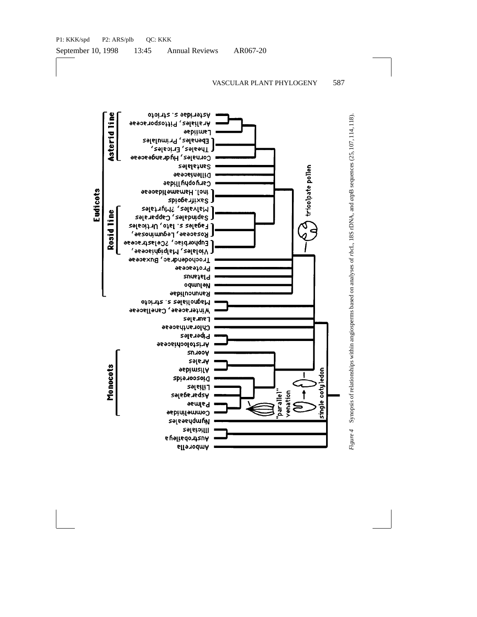

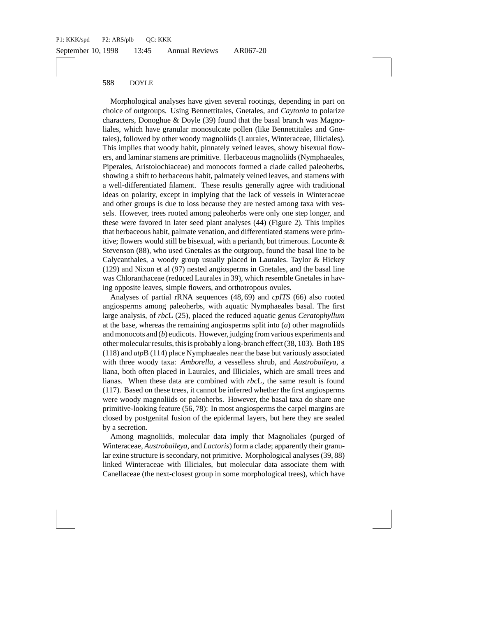Morphological analyses have given several rootings, depending in part on choice of outgroups. Using Bennettitales, Gnetales, and *Caytonia* to polarize characters, Donoghue & Doyle (39) found that the basal branch was Magnoliales, which have granular monosulcate pollen (like Bennettitales and Gnetales), followed by other woody magnoliids (Laurales, Winteraceae, Illiciales). This implies that woody habit, pinnately veined leaves, showy bisexual flowers, and laminar stamens are primitive. Herbaceous magnoliids (Nymphaeales, Piperales, Aristolochiaceae) and monocots formed a clade called paleoherbs, showing a shift to herbaceous habit, palmately veined leaves, and stamens with a well-differentiated filament. These results generally agree with traditional ideas on polarity, except in implying that the lack of vessels in Winteraceae and other groups is due to loss because they are nested among taxa with vessels. However, trees rooted among paleoherbs were only one step longer, and these were favored in later seed plant analyses (44) (Figure 2). This implies that herbaceous habit, palmate venation, and differentiated stamens were primitive; flowers would still be bisexual, with a perianth, but trimerous. Loconte & Stevenson (88), who used Gnetales as the outgroup, found the basal line to be Calycanthales, a woody group usually placed in Laurales. Taylor & Hickey (129) and Nixon et al (97) nested angiosperms in Gnetales, and the basal line was Chloranthaceae (reduced Laurales in 39), which resemble Gnetales in having opposite leaves, simple flowers, and orthotropous ovules.

Analyses of partial rRNA sequences (48, 69) and *cpITS* (66) also rooted angiosperms among paleoherbs, with aquatic Nymphaeales basal. The first large analysis, of *rbc*L (25), placed the reduced aquatic genus *Ceratophyllum* at the base, whereas the remaining angiosperms split into (*a*) other magnoliids and monocots and (*b*) eudicots. However, judging from various experiments and other molecular results, this is probably a long-branch effect (38, 103). Both 18S (118) and *atp*B (114) place Nymphaeales near the base but variously associated with three woody taxa: *Amborella*, a vesselless shrub, and *Austrobaileya*, a liana, both often placed in Laurales, and Illiciales, which are small trees and lianas. When these data are combined with *rbc*L, the same result is found (117). Based on these trees, it cannot be inferred whether the first angiosperms were woody magnoliids or paleoherbs. However, the basal taxa do share one primitive-looking feature (56, 78): In most angiosperms the carpel margins are closed by postgenital fusion of the epidermal layers, but here they are sealed by a secretion.

Among magnoliids, molecular data imply that Magnoliales (purged of Winteraceae, *Austrobaileya*, and *Lactoris*) form a clade; apparently their granular exine structure is secondary, not primitive. Morphological analyses (39, 88) linked Winteraceae with Illiciales, but molecular data associate them with Canellaceae (the next-closest group in some morphological trees), which have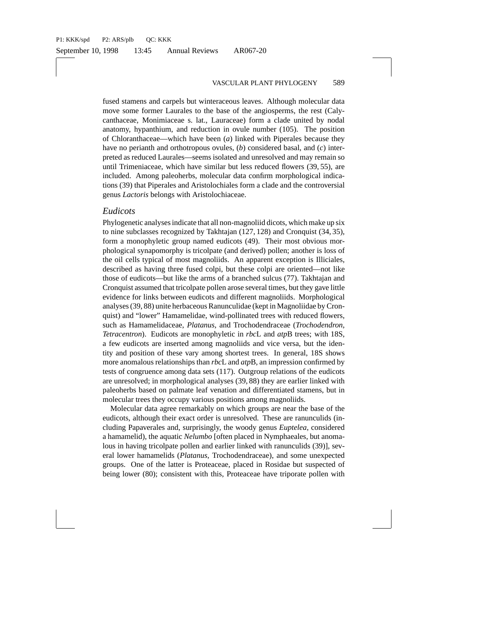fused stamens and carpels but winteraceous leaves. Although molecular data move some former Laurales to the base of the angiosperms, the rest (Calycanthaceae, Monimiaceae s. lat., Lauraceae) form a clade united by nodal anatomy, hypanthium, and reduction in ovule number (105). The position of Chloranthaceae—which have been (*a*) linked with Piperales because they have no perianth and orthotropous ovules, (*b*) considered basal, and (*c*) interpreted as reduced Laurales—seems isolated and unresolved and may remain so until Trimeniaceae, which have similar but less reduced flowers (39, 55), are included. Among paleoherbs, molecular data confirm morphological indications (39) that Piperales and Aristolochiales form a clade and the controversial genus *Lactoris* belongs with Aristolochiaceae.

### *Eudicots*

Phylogenetic analyses indicate that all non-magnoliid dicots, which make up six to nine subclasses recognized by Takhtajan (127, 128) and Cronquist (34, 35), form a monophyletic group named eudicots (49). Their most obvious morphological synapomorphy is tricolpate (and derived) pollen; another is loss of the oil cells typical of most magnoliids. An apparent exception is Illiciales, described as having three fused colpi, but these colpi are oriented—not like those of eudicots—but like the arms of a branched sulcus (77). Takhtajan and Cronquist assumed that tricolpate pollen arose several times, but they gave little evidence for links between eudicots and different magnoliids. Morphological analyses (39, 88) unite herbaceous Ranunculidae (kept in Magnoliidae by Cronquist) and "lower" Hamamelidae, wind-pollinated trees with reduced flowers, such as Hamamelidaceae, *Platanus*, and Trochodendraceae (*Trochodendron*, *Tetracentron*). Eudicots are monophyletic in *rbc*L and *atp*B trees; with 18S, a few eudicots are inserted among magnoliids and vice versa, but the identity and position of these vary among shortest trees. In general, 18S shows more anomalous relationships than *rbc*L and *atp*B, an impression confirmed by tests of congruence among data sets (117). Outgroup relations of the eudicots are unresolved; in morphological analyses (39, 88) they are earlier linked with paleoherbs based on palmate leaf venation and differentiated stamens, but in molecular trees they occupy various positions among magnoliids.

Molecular data agree remarkably on which groups are near the base of the eudicots, although their exact order is unresolved. These are ranunculids (including Papaverales and, surprisingly, the woody genus *Euptelea*, considered a hamamelid), the aquatic *Nelumbo* [often placed in Nymphaeales, but anomalous in having tricolpate pollen and earlier linked with ranunculids (39)], several lower hamamelids (*Platanus*, Trochodendraceae), and some unexpected groups. One of the latter is Proteaceae, placed in Rosidae but suspected of being lower (80); consistent with this, Proteaceae have triporate pollen with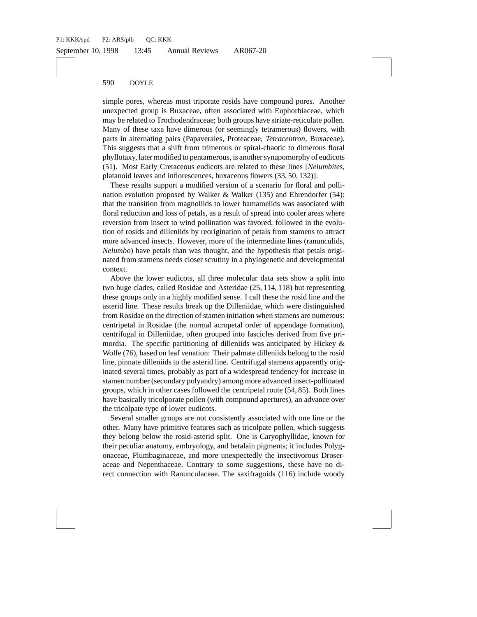simple pores, whereas most triporate rosids have compound pores. Another unexpected group is Buxaceae, often associated with Euphorbiaceae, which may be related to Trochodendraceae; both groups have striate-reticulate pollen. Many of these taxa have dimerous (or seemingly tetramerous) flowers, with parts in alternating pairs (Papaverales, Proteaceae, *Tetracentron*, Buxaceae). This suggests that a shift from trimerous or spiral-chaotic to dimerous floral phyllotaxy, later modified to pentamerous, is another synapomorphy of eudicots (51). Most Early Cretaceous eudicots are related to these lines [*Nelumbites*, platanoid leaves and inflorescences, buxaceous flowers (33, 50, 132)].

These results support a modified version of a scenario for floral and pollination evolution proposed by Walker  $\&$  Walker (135) and Ehrendorfer (54): that the transition from magnoliids to lower hamamelids was associated with floral reduction and loss of petals, as a result of spread into cooler areas where reversion from insect to wind pollination was favored, followed in the evolution of rosids and dilleniids by reorigination of petals from stamens to attract more advanced insects. However, more of the intermediate lines (ranunculids, *Nelumbo*) have petals than was thought, and the hypothesis that petals originated from stamens needs closer scrutiny in a phylogenetic and developmental context.

Above the lower eudicots, all three molecular data sets show a split into two huge clades, called Rosidae and Asteridae (25, 114, 118) but representing these groups only in a highly modified sense. I call these the rosid line and the asterid line. These results break up the Dilleniidae, which were distinguished from Rosidae on the direction of stamen initiation when stamens are numerous: centripetal in Rosidae (the normal acropetal order of appendage formation), centrifugal in Dilleniidae, often grouped into fascicles derived from five primordia. The specific partitioning of dilleniids was anticipated by Hickey  $\&$ Wolfe (76), based on leaf venation: Their palmate dilleniids belong to the rosid line, pinnate dilleniids to the asterid line. Centrifugal stamens apparently originated several times, probably as part of a widespread tendency for increase in stamen number (secondary polyandry) among more advanced insect-pollinated groups, which in other cases followed the centripetal route (54, 85). Both lines have basically tricolporate pollen (with compound apertures), an advance over the tricolpate type of lower eudicots.

Several smaller groups are not consistently associated with one line or the other. Many have primitive features such as tricolpate pollen, which suggests they belong below the rosid-asterid split. One is Caryophyllidae, known for their peculiar anatomy, embryology, and betalain pigments; it includes Polygonaceae, Plumbaginaceae, and more unexpectedly the insectivorous Droseraceae and Nepenthaceae. Contrary to some suggestions, these have no direct connection with Ranunculaceae. The saxifragoids (116) include woody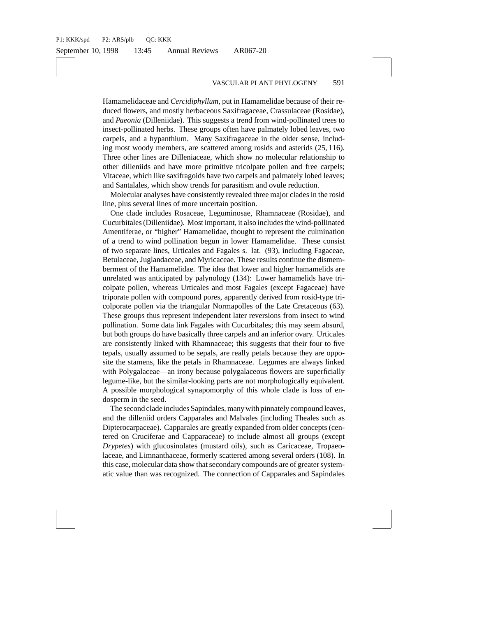Hamamelidaceae and *Cercidiphyllum*, put in Hamamelidae because of their reduced flowers, and mostly herbaceous Saxifragaceae, Crassulaceae (Rosidae), and *Paeonia* (Dilleniidae). This suggests a trend from wind-pollinated trees to insect-pollinated herbs. These groups often have palmately lobed leaves, two carpels, and a hypanthium. Many Saxifragaceae in the older sense, including most woody members, are scattered among rosids and asterids (25, 116). Three other lines are Dilleniaceae, which show no molecular relationship to other dilleniids and have more primitive tricolpate pollen and free carpels; Vitaceae, which like saxifragoids have two carpels and palmately lobed leaves; and Santalales, which show trends for parasitism and ovule reduction.

Molecular analyses have consistently revealed three major clades in the rosid line, plus several lines of more uncertain position.

One clade includes Rosaceae, Leguminosae, Rhamnaceae (Rosidae), and Cucurbitales (Dilleniidae). Most important, it also includes the wind-pollinated Amentiferae, or "higher" Hamamelidae, thought to represent the culmination of a trend to wind pollination begun in lower Hamamelidae. These consist of two separate lines, Urticales and Fagales s. lat. (93), including Fagaceae, Betulaceae, Juglandaceae, and Myricaceae. These results continue the dismemberment of the Hamamelidae. The idea that lower and higher hamamelids are unrelated was anticipated by palynology (134): Lower hamamelids have tricolpate pollen, whereas Urticales and most Fagales (except Fagaceae) have triporate pollen with compound pores, apparently derived from rosid-type tricolporate pollen via the triangular Normapolles of the Late Cretaceous (63). These groups thus represent independent later reversions from insect to wind pollination. Some data link Fagales with Cucurbitales; this may seem absurd, but both groups do have basically three carpels and an inferior ovary. Urticales are consistently linked with Rhamnaceae; this suggests that their four to five tepals, usually assumed to be sepals, are really petals because they are opposite the stamens, like the petals in Rhamnaceae. Legumes are always linked with Polygalaceae—an irony because polygalaceous flowers are superficially legume-like, but the similar-looking parts are not morphologically equivalent. A possible morphological synapomorphy of this whole clade is loss of endosperm in the seed.

The second clade includes Sapindales, many with pinnately compound leaves, and the dilleniid orders Capparales and Malvales (including Theales such as Dipterocarpaceae). Capparales are greatly expanded from older concepts (centered on Cruciferae and Capparaceae) to include almost all groups (except *Drypetes*) with glucosinolates (mustard oils), such as Caricaceae, Tropaeolaceae, and Limnanthaceae, formerly scattered among several orders (108). In this case, molecular data show that secondary compounds are of greater systematic value than was recognized. The connection of Capparales and Sapindales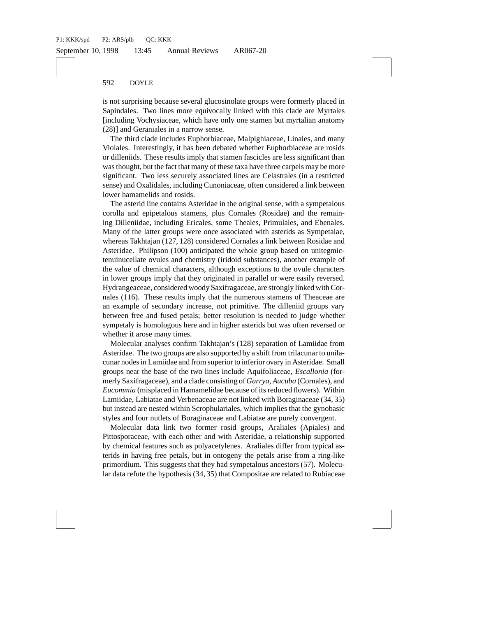is not surprising because several glucosinolate groups were formerly placed in Sapindales. Two lines more equivocally linked with this clade are Myrtales [including Vochysiaceae, which have only one stamen but myrtalian anatomy (28)] and Geraniales in a narrow sense.

The third clade includes Euphorbiaceae, Malpighiaceae, Linales, and many Violales. Interestingly, it has been debated whether Euphorbiaceae are rosids or dilleniids. These results imply that stamen fascicles are less significant than was thought, but the fact that many of these taxa have three carpels may be more significant. Two less securely associated lines are Celastrales (in a restricted sense) and Oxalidales, including Cunoniaceae, often considered a link between lower hamamelids and rosids.

The asterid line contains Asteridae in the original sense, with a sympetalous corolla and epipetalous stamens, plus Cornales (Rosidae) and the remaining Dilleniidae, including Ericales, some Theales, Primulales, and Ebenales. Many of the latter groups were once associated with asterids as Sympetalae, whereas Takhtajan (127, 128) considered Cornales a link between Rosidae and Asteridae. Philipson (100) anticipated the whole group based on unitegmictenuinucellate ovules and chemistry (iridoid substances), another example of the value of chemical characters, although exceptions to the ovule characters in lower groups imply that they originated in parallel or were easily reversed. Hydrangeaceae, considered woody Saxifragaceae, are strongly linked with Cornales (116). These results imply that the numerous stamens of Theaceae are an example of secondary increase, not primitive. The dilleniid groups vary between free and fused petals; better resolution is needed to judge whether sympetaly is homologous here and in higher asterids but was often reversed or whether it arose many times.

Molecular analyses confirm Takhtajan's (128) separation of Lamiidae from Asteridae. The two groups are also supported by a shift from trilacunar to unilacunar nodes in Lamiidae and from superior to inferior ovary in Asteridae. Small groups near the base of the two lines include Aquifoliaceae, *Escallonia* (formerly Saxifragaceae), and a clade consisting of *Garrya*, *Aucuba* (Cornales), and *Eucommia* (misplaced in Hamamelidae because of its reduced flowers). Within Lamiidae, Labiatae and Verbenaceae are not linked with Boraginaceae (34, 35) but instead are nested within Scrophulariales, which implies that the gynobasic styles and four nutlets of Boraginaceae and Labiatae are purely convergent.

Molecular data link two former rosid groups, Araliales (Apiales) and Pittosporaceae, with each other and with Asteridae, a relationship supported by chemical features such as polyacetylenes. Araliales differ from typical asterids in having free petals, but in ontogeny the petals arise from a ring-like primordium. This suggests that they had sympetalous ancestors (57). Molecular data refute the hypothesis (34, 35) that Compositae are related to Rubiaceae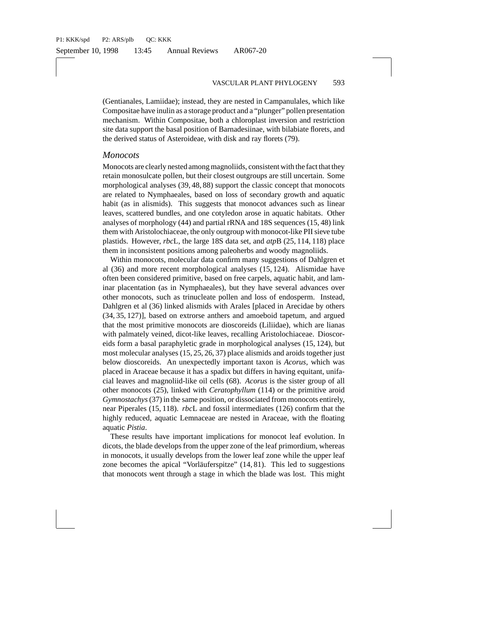(Gentianales, Lamiidae); instead, they are nested in Campanulales, which like Compositae have inulin as a storage product and a "plunger" pollen presentation mechanism. Within Compositae, both a chloroplast inversion and restriction site data support the basal position of Barnadesiinae, with bilabiate florets, and the derived status of Asteroideae, with disk and ray florets (79).

#### *Monocots*

Monocots are clearly nested among magnoliids, consistent with the fact that they retain monosulcate pollen, but their closest outgroups are still uncertain. Some morphological analyses (39, 48, 88) support the classic concept that monocots are related to Nymphaeales, based on loss of secondary growth and aquatic habit (as in alismids). This suggests that monocot advances such as linear leaves, scattered bundles, and one cotyledon arose in aquatic habitats. Other analyses of morphology (44) and partial rRNA and 18S sequences (15, 48) link them with Aristolochiaceae, the only outgroup with monocot-like PII sieve tube plastids. However, *rbc*L, the large 18S data set, and *atp*B (25, 114, 118) place them in inconsistent positions among paleoherbs and woody magnoliids.

Within monocots, molecular data confirm many suggestions of Dahlgren et al (36) and more recent morphological analyses (15, 124). Alismidae have often been considered primitive, based on free carpels, aquatic habit, and laminar placentation (as in Nymphaeales), but they have several advances over other monocots, such as trinucleate pollen and loss of endosperm. Instead, Dahlgren et al (36) linked alismids with Arales [placed in Arecidae by others (34, 35, 127)], based on extrorse anthers and amoeboid tapetum, and argued that the most primitive monocots are dioscoreids (Liliidae), which are lianas with palmately veined, dicot-like leaves, recalling Aristolochiaceae. Dioscoreids form a basal paraphyletic grade in morphological analyses (15, 124), but most molecular analyses (15, 25, 26, 37) place alismids and aroids together just below dioscoreids. An unexpectedly important taxon is *Acorus*, which was placed in Araceae because it has a spadix but differs in having equitant, unifacial leaves and magnoliid-like oil cells (68). *Acorus* is the sister group of all other monocots (25), linked with *Ceratophyllum* (114) or the primitive aroid *Gymnostachys*(37) in the same position, or dissociated from monocots entirely, near Piperales (15, 118). *rbc*L and fossil intermediates (126) confirm that the highly reduced, aquatic Lemnaceae are nested in Araceae, with the floating aquatic *Pistia*.

These results have important implications for monocot leaf evolution. In dicots, the blade develops from the upper zone of the leaf primordium, whereas in monocots, it usually develops from the lower leaf zone while the upper leaf zone becomes the apical "Vorläuferspitze"  $(14, 81)$ . This led to suggestions that monocots went through a stage in which the blade was lost. This might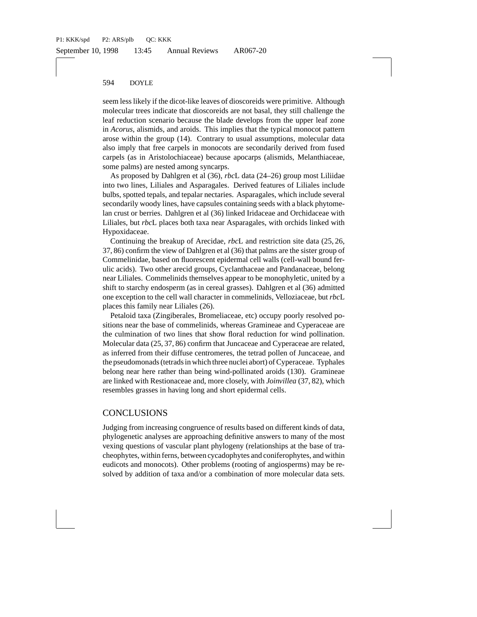seem less likely if the dicot-like leaves of dioscoreids were primitive. Although molecular trees indicate that dioscoreids are not basal, they still challenge the leaf reduction scenario because the blade develops from the upper leaf zone in *Acorus*, alismids, and aroids. This implies that the typical monocot pattern arose within the group (14). Contrary to usual assumptions, molecular data also imply that free carpels in monocots are secondarily derived from fused carpels (as in Aristolochiaceae) because apocarps (alismids, Melanthiaceae, some palms) are nested among syncarps.

As proposed by Dahlgren et al (36), *rbc*L data (24–26) group most Liliidae into two lines, Liliales and Asparagales. Derived features of Liliales include bulbs, spotted tepals, and tepalar nectaries. Asparagales, which include several secondarily woody lines, have capsules containing seeds with a black phytomelan crust or berries. Dahlgren et al (36) linked Iridaceae and Orchidaceae with Liliales, but *rbc*L places both taxa near Asparagales, with orchids linked with Hypoxidaceae.

Continuing the breakup of Arecidae, *rbc*L and restriction site data (25, 26, 37, 86) confirm the view of Dahlgren et al (36) that palms are the sister group of Commelinidae, based on fluorescent epidermal cell walls (cell-wall bound ferulic acids). Two other arecid groups, Cyclanthaceae and Pandanaceae, belong near Liliales. Commelinids themselves appear to be monophyletic, united by a shift to starchy endosperm (as in cereal grasses). Dahlgren et al (36) admitted one exception to the cell wall character in commelinids, Velloziaceae, but *rbc*L places this family near Liliales (26).

Petaloid taxa (Zingiberales, Bromeliaceae, etc) occupy poorly resolved positions near the base of commelinids, whereas Gramineae and Cyperaceae are the culmination of two lines that show floral reduction for wind pollination. Molecular data (25, 37, 86) confirm that Juncaceae and Cyperaceae are related, as inferred from their diffuse centromeres, the tetrad pollen of Juncaceae, and the pseudomonads (tetrads in which three nuclei abort) of Cyperaceae. Typhales belong near here rather than being wind-pollinated aroids (130). Gramineae are linked with Restionaceae and, more closely, with *Joinvillea* (37, 82), which resembles grasses in having long and short epidermal cells.

# **CONCLUSIONS**

Judging from increasing congruence of results based on different kinds of data, phylogenetic analyses are approaching definitive answers to many of the most vexing questions of vascular plant phylogeny (relationships at the base of tracheophytes, within ferns, between cycadophytes and coniferophytes, and within eudicots and monocots). Other problems (rooting of angiosperms) may be resolved by addition of taxa and/or a combination of more molecular data sets.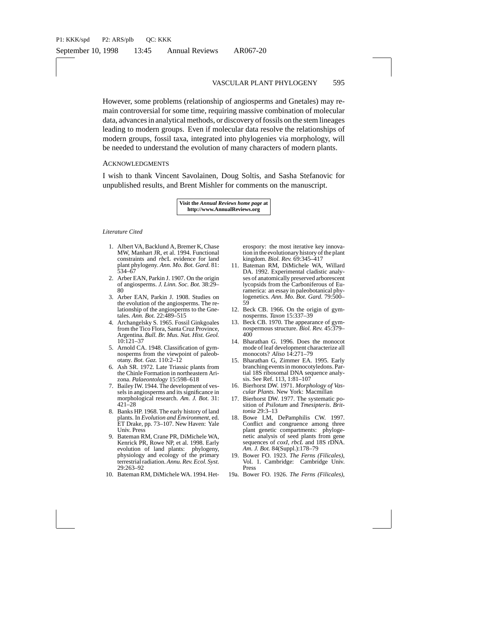However, some problems (relationship of angiosperms and Gnetales) may remain controversial for some time, requiring massive combination of molecular data, advances in analytical methods, or discovery of fossils on the stem lineages leading to modern groups. Even if molecular data resolve the relationships of modern groups, fossil taxa, integrated into phylogenies via morphology, will be needed to understand the evolution of many characters of modern plants.

#### ACKNOWLEDGMENTS

I wish to thank Vincent Savolainen, Doug Soltis, and Sasha Stefanovic for unpublished results, and Brent Mishler for comments on the manuscript.

> **Visit the** *Annual Reviews home page* **at http://www.AnnualReviews.org**

#### *Literature Cited*

- 1. Albert VA, Backlund A, Bremer K, Chase MW, Manhart JR, et al. 1994. Functional constraints and *rbc*L evidence for land plant phylogeny. *Ann. Mo. Bot. Gard.* 81:  $534 - 67$
- 2. Arber EAN, Parkin J. 1907. On the origin of angiosperms. *J. Linn. Soc. Bot.* 38:29– 80
- 3. Arber EAN, Parkin J. 1908. Studies on the evolution of the angiosperms. The relationship of the angiosperms to the Gnetales. *Ann. Bot.* 22:489–515
- 4. Archangelsky S. 1965. Fossil Ginkgoales from the Tico Flora, Santa Cruz Province, Argentina. *Bull. Br. Mus. Nat. Hist. Geol.* 10:121–37
- 5. Arnold CA. 1948. Classification of gymnosperms from the viewpoint of paleobotany. *Bot. Gaz.* 110:2–12
- 6. Ash SR. 1972. Late Triassic plants from the Chinle Formation in northeastern Arizona. *Palaeontology* 15:598–618
- 7. Bailey IW. 1944. The development of vessels in angiosperms and its significance in morphological research. *Am. J. Bot.* 31: 421–28
- 8. Banks HP. 1968. The early history of land plants. In *Evolution and Environment*, ed. ET Drake, pp. 73–107. New Haven: Yale Univ. Press
- 9. Bateman RM, Crane PR, DiMichele WA, Kenrick PR, Rowe NP, et al. 1998. Early evolution of land plants: phylogeny, physiology and ecology of the primary terrestrial radiation. *Annu. Rev. Ecol. Syst.* 29:263–92
- 10. Bateman RM, DiMichele WA. 1994. Het-

erospory: the most iterative key innovation in the evolutionary history of the plant kingdom. *Biol. Rev.* 69:345–417

- 11. Bateman RM, DiMichele WA, Willard DA. 1992. Experimental cladistic analyses of anatomically preserved arborescent lycopsids from the Carboniferous of Euramerica: an essay in paleobotanical phylogenetics. *Ann. Mo. Bot. Gard.* 79:500– 59
- 12. Beck CB. 1966. On the origin of gymnosperms. *Taxon* 15:337–39
- 13. Beck CB. 1970. The appearance of gymnospermous structure. *Biol. Rev.* 45:379– 400
- 14. Bharathan G. 1996. Does the monocot mode of leaf development characterize all monocots? *Aliso* 14:271–79
- 15. Bharathan G, Zimmer EA. 1995. Early branching events in monocotyledons. Partial 18S ribosomal DNA sequence analysis. See Ref. 113, 1:81–107
- 16. Bierhorst DW. 1971. *Morphology of Vascular Plants*. New York: Macmillan
- 17. Bierhorst DW. 1977. The systematic position of *Psilotum* and *Tmesipteris*. *Brittonia* 29:3–13
- 18. Bowe LM, DePamphilis CW. 1997. Conflict and congruence among three plant genetic compartments: phylogenetic analysis of seed plants from gene sequences of *coxI*, *rbcL* and 18S rDNA. *Am. J. Bot.* 84(Suppl.):178–79
- 19. Bower FO. 1923. *The Ferns (Filicales)*, Vol. 1. Cambridge: Cambridge Univ. Press
- 19a. Bower FO. 1926. *The Ferns (Filicales)*,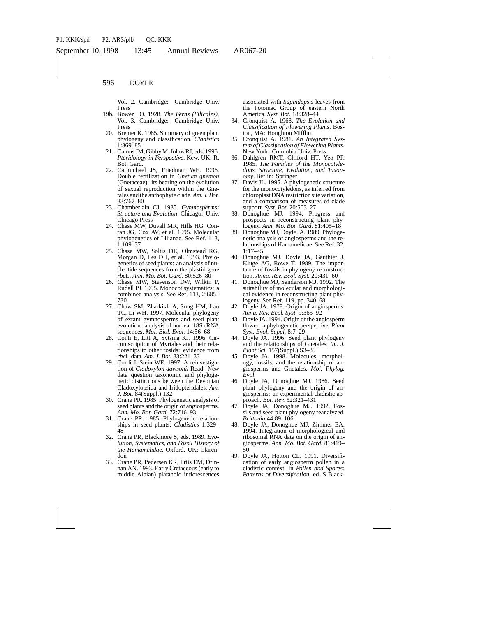Vol. 2. Cambridge: Cambridge Univ. Press

- 19b. Bower FO. 1928. *The Ferns (Filicales)*, Vol. 3, Cambridge: Cambridge Univ. Press
- 20. Bremer K. 1985. Summary of green plant phylogeny and classification. *Cladistics* 1:369–85
- 21. Camus JM, Gibby M, Johns RJ, eds. 1996. *Pteridology in Perspective*. Kew, UK: R. Bot. Gard.
- 22. Carmichael JS, Friedman WE. 1996. Double fertilization in *Gnetum gnemon* (Gnetaceae): its bearing on the evolution of sexual reproduction within the Gnetales and the anthophyte clade. *Am. J. Bot.* 83:767–80
- 23. Chamberlain CJ. 1935. *Gymnosperms: Structure and Evolution*. Chicago: Univ. Chicago Press
- 24. Chase MW, Duvall MR, Hills HG, Conran JG, Cox AV, et al. 1995. Molecular phylogenetics of Lilianae. See Ref. 113, 1:109–37
- 25. Chase MW, Soltis DE, Olmstead RG, Morgan D, Les DH, et al. 1993. Phylogenetics of seed plants: an analysis of nucleotide sequences from the plastid gene *rbc*L. *Ann. Mo. Bot. Gard.* 80:526–80
- 26. Chase MW, Stevenson DW, Wilkin P, Rudall PJ. 1995. Monocot systematics: a combined analysis. See Ref. 113, 2:685– 730
- 27. Chaw SM, Zharkikh A, Sung HM, Lau TC, Li WH. 1997. Molecular phylogeny of extant gymnosperms and seed plant evolution: analysis of nuclear 18S rRNA sequences. *Mol. Biol. Evol.* 14:56–68
- 28. Conti E, Litt A, Sytsma KJ. 1996. Circumscription of Myrtales and their relationships to other rosids: evidence from *rbc*L data. *Am. J. Bot.* 83:221–33
- 29. Cordi J, Stein WE. 1997. A reinvestigation of *Cladoxylon dawsonii* Read: New data question taxonomic and phylogenetic distinctions between the Devonian Cladoxylopsida and Iridopteridales. *Am. J. Bot.* 84(Suppl.):132
- 30. Crane PR. 1985. Phylogenetic analysis of seed plants and the origin of angiosperms. *Ann. Mo. Bot. Gard.* 72:716–93
- 31. Crane PR. 1985. Phylogenetic relationships in seed plants. *Cladistics* 1:329– 48
- 32. Crane PR, Blackmore S, eds. 1989. *Evolution, Systematics, and Fossil History of the Hamamelidae*. Oxford, UK: Clarendon
- 33. Crane PR, Pedersen KR, Friis EM, Drinnan AN. 1993. Early Cretaceous (early to middle Albian) platanoid inflorescences

associated with *Sapindopsis* leaves from the Potomac Group of eastern North America. *Syst. Bot.* 18:328–44

- 34. Cronquist A. 1968. *The Evolution and Classification of Flowering Plants*. Boston, MA: Houghton Mifflin
- 35. Cronquist A. 1981. *An Integrated System of Classification of Flowering Plants*. New York: Columbia Univ. Press
- 36. Dahlgren RMT, Clifford HT, Yeo PF. 1985. *The Families of the Monocotyledons. Structure, Evolution, and Taxonomy*. Berlin: Springer
- 37. Davis JL. 1995. A phylogenetic structure for the monocotyledons, as inferred from chloroplast DNA restriction site variation, and a comparison of measures of clade support. *Syst. Bot.* 20:503–27
- 38. Donoghue MJ. 1994. Progress and prospects in reconstructing plant phylogeny. *Ann. Mo. Bot. Gard.* 81:405–18
- 39. Donoghue MJ, Doyle JA. 1989. Phylogenetic analysis of angiosperms and the relationships of Hamamelidae. See Ref. 32, 1:17–45
- 40. Donoghue MJ, Doyle JA, Gauthier J, Kluge AG, Rowe T. 1989. The importance of fossils in phylogeny reconstruction. *Annu. Rev. Ecol. Syst.* 20:431–60
- 41. Donoghue MJ, Sanderson MJ. 1992. The suitability of molecular and morphological evidence in reconstructing plant phylogeny. See Ref. 119, pp. 340–68
- 42. Doyle JA. 1978. Origin of angiosperms. *Annu. Rev. Ecol. Syst.* 9:365–92
- 43. Doyle JA. 1994. Origin of the angiosperm flower: a phylogenetic perspective. *Plant Syst. Evol. Suppl.* 8:7–29
- 44. Doyle JA. 1996. Seed plant phylogeny and the relationships of Gnetales. *Int. J. Plant Sci.* 157(Suppl.):S3–39
- 45. Doyle JA. 1998. Molecules, morphology, fossils, and the relationship of angiosperms and Gnetales. *Mol. Phylog. Evol.*
- 46. Doyle JA, Donoghue MJ. 1986. Seed plant phylogeny and the origin of angiosperms: an experimental cladistic approach. *Bot. Rev.* 52:321–431
- 47. Doyle JA, Donoghue MJ. 1992. Fossils and seed plant phylogeny reanalyzed. *Brittonia* 44:89–106
- 48. Doyle JA, Donoghue MJ, Zimmer EA. 1994. Integration of morphological and ribosomal RNA data on the origin of an-giosperms. *Ann. Mo. Bot. Gard.* 81:419– 50
- 49. Doyle JA, Hotton CL. 1991. Diversification of early angiosperm pollen in a cladistic context. In *Pollen and Spores: Patterns of Diversification*, ed. S Black-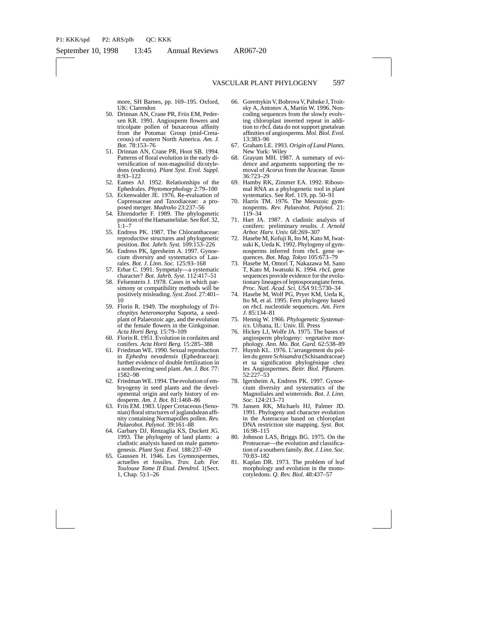more, SH Barnes, pp. 169–195. Oxford, UK: Clarendon

- 50. Drinnan AN, Crane PR, Friis EM, Pedersen KR. 1991. Angiosperm flowers and tricolpate pollen of buxaceous affinity from the Potomac Group (mid-Cretaceous) of eastern North America. *Am. J. Bot.* 78:153–76
- 51. Drinnan AN, Crane PR, Hoot SB. 1994. Patterns of floral evolution in the early diversification of non-magnoliid dicotyledons (eudicots). *Plant Syst. Evol. Suppl.* 8:93–122
- 52. Eames AJ. 1952. Relationships of the Ephedrales. *Phytomorphology* 2:79–100
- 53. Eckenwalder JE. 1976. Re-evaluation of Cupressaceae and Taxodiaceae: a proposed merger. *Madroño* 23:237-56
- 54. Ehrendorfer F. 1989. The phylogenetic position of the Hamamelidae. See Ref. 32, 1:1–7
- 55. Endress PK. 1987. The Chloranthaceae: reproductive structures and phylogenetic position. *Bot. Jahrb. Syst.* 109:153–226
- 56. Endress PK, Igersheim A. 1997. Gynoecium diversity and systematics of Laurales. *Bot. J. Linn. Soc.* 125:93–168
- 57. Erbar C. 1991. Sympetaly—a systematic character? *Bot. Jahrb. Syst.* 112:417–51
- 58. Felsenstein J. 1978. Cases in which parsimony or compatibility methods will be positively misleading. *Syst. Zool.* 27:401– 10
- 59. Florin R. 1949. The morphology of *Trichopitys heteromorpha* Saporta, a seedplant of Palaeozoic age, and the evolution of the female flowers in the Ginkgoinae. *Acta Horti Berg.* 15:79–109
- 60. Florin R. 1951. Evolution in cordaites and conifers. *Acta Horti Berg.* 15:285–388
- 61. Friedman WE. 1990. Sexual reproduction in *Ephedra nevadensis* (Ephedraceae): further evidence of double fertilization in a nonflowering seed plant. *Am. J. Bot.* 77: 1582–98
- 62. Friedman WE. 1994. The evolution of embryogeny in seed plants and the developmental origin and early history of endosperm. *Am. J. Bot.* 81:1468–86
- 63. Friis EM. 1983. Upper Cretaceous (Senonian) floral structures of juglandalean affinity containing Normapolles pollen. *Rev. Palaeobot. Palynol.* 39:161–88
- 64. Garbary DJ, Renzaglia KS, Duckett JG. 1993. The phylogeny of land plants: a cladistic analysis based on male gametogenesis. *Plant Syst. Evol.* 188:237–69
- 65. Gaussen H. 1946. Les Gymnospermes, actuelles et fossiles. *Trav. Lab. For. Toulouse Tome II Etud. Dendrol.* 1(Sect. 1, Chap. 5):1–26
- 66. Goremykin V, Bobrova V, Pahnke J, Troitsky A, Antonov A, Martin W. 1996. Noncoding sequences from the slowly evolving chloroplast inverted repeat in addition to *rbcL* data do not support gnetalean affinities of angiosperms. *Mol. Biol. Evol.* 13:383–96
- 67. Graham LE. 1993. *Origin of Land Plants*. New York: Wiley
- 68. Grayum MH. 1987. A summary of evidence and arguments supporting the removal of *Acorus* from the Araceae. *Taxon* 36:723–29
- 69. Hamby RK, Zimmer EA. 1992. Ribosomal RNA as a phylogenetic tool in plant systematics. See Ref. 119, pp. 50–91
- 70. Harris TM. 1976. The Mesozoic gymnosperms. *Rev. Palaeobot. Palynol.* 21: 119–34
- 71. Hart JA. 1987. A cladistic analysis of conifers: preliminary results. *J. Arnold Arbor. Harv. Univ.* 68:269–307
- 72. Hasebe M, Kofuji R, Ito M, Kato M, Iwatsuki K, Ueda K. 1992. Phylogeny of gymnosperms inferred from *rbc*L gene sequences. *Bot. Mag. Tokyo* 105:673–79
- 73. Hasebe M, Omori T, Nakazawa M, Sano T, Kato M, Iwatsuki K. 1994. *rbcL* gene sequences provide evidence for the evolutionary lineages of leptosporangiate ferns. *Proc. Natl. Acad. Sci. USA* 91:5730–34
- 74. Hasebe M, Wolf PG, Pryer KM, Ueda K, Ito M, et al. 1995. Fern phylogeny based on *rbcL* nucleotide sequences. *Am. Fern J.* 85:134–81
- 75. Hennig W. 1966. *Phylogenetic Systematics*. Urbana, IL: Univ. Ill. Press
- 76. Hickey LJ, Wolfe JA. 1975. The bases of angiosperm phylogeny: vegetative morphology. *Ann. Mo. Bot. Gard.* 62:538–89
- 77. Huynh KL. 1976. L'arrangement du pollen du genre *Schisandra* (Schisandraceae) et sa signification phylogénique chez les Angiospermes. *Beitr. Biol. Pflanzen.* 52:227–53
- 78. Igersheim A, Endress PK. 1997. Gynoecium diversity and systematics of the Magnoliales and winteroids. *Bot. J. Linn. Soc.* 124:213–71
- 79. Jansen RK, Michaels HJ, Palmer JD. 1991. Phylogeny and character evolution in the Asteraceae based on chloroplast DNA restriction site mapping. *Syst. Bot.* 16:98–115
- 80. Johnson LAS, Briggs BG. 1975. On the Proteaceae—the evolution and classification of a southern family. *Bot. J. Linn. Soc.* 70:83–182
- 81. Kaplan DR. 1973. The problem of leaf morphology and evolution in the monocotyledons. *Q. Rev. Biol.* 48:437–57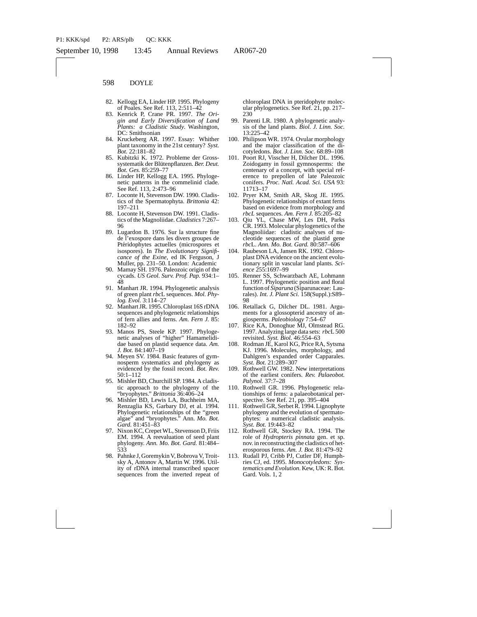- 82. Kellogg EA, Linder HP. 1995. Phylogeny of Poales. See Ref. 113, 2:511–42
- 83. Kenrick P, Crane PR. 1997. *The Origin and Early Diversification of Land Plants: a Cladistic Study*. Washington, DC: Smithsonian
- 84. Kruckeberg AR. 1997. Essay: Whither plant taxonomy in the 21st century? *Syst. Bot.* 22:181–82
- 85. Kubitzki K. 1972. Probleme der Grosssystematik der Blütenpflanzen. Ber. Deut. *Bot. Ges.* 85:259–77
- 86. Linder HP, Kellogg EA. 1995. Phylogenetic patterns in the commelinid clade. See Ref. 113, 2:473–96
- 87. Loconte H, Stevenson DW. 1990. Cladistics of the Spermatophyta. *Brittonia* 42: 197–211
- 88. Loconte H, Stevenson DW. 1991. Cladistics of the Magnoliidae. *Cladistics* 7:267– 96
- 89. Lugardon B. 1976. Sur la structure fine de l'exospore dans les divers groupes de Ptéridophytes actuelles (microspores et isospores). In *The Evolutionary Significance of the Exine*, ed IK Ferguson, J Muller, pp. 231–50. London: Academic
- 90. Mamay SH. 1976. Paleozoic origin of the cycads. *US Geol. Surv. Prof. Pap.* 934:1– 48
- 91. Manhart JR. 1994. Phylogenetic analysis of green plant *rbc*L sequences. *Mol. Phylog. Evol.* 3:114–27
- 92. Manhart JR. 1995. Chloroplast 16S rDNA sequences and phylogenetic relationships of fern allies and ferns. *Am. Fern J.* 85: 182–92
- 93. Manos PS, Steele KP. 1997. Phylogenetic analyses of "higher" Hamamelididae based on plastid sequence data. *Am. J. Bot.* 84:1407–19
- 94. Meyen SV. 1984. Basic features of gymnosperm systematics and phylogeny as evidenced by the fossil record. *Bot. Rev.* 50:1–112
- 95. Mishler BD, Churchill SP. 1984. A cladistic approach to the phylogeny of the "bryophytes." *Brittonia* 36:406–24
- 96. Mishler BD, Lewis LA, Buchheim MA, Renzaglia KS, Garbary DJ, et al. 1994. Phylogenetic relationships of the "green algae" and "bryophytes." Ann. *Mo. Bot. Gard.* 81:451–83
- 97. Nixon KC, Crepet WL, Stevenson D, Friis EM. 1994. A reevaluation of seed plant phylogeny. *Ann. Mo. Bot. Gard.* 81:484– 533
- 98. Pahnke J, Goremykin V, Bobrova V, Troitsky A, Antonov A, Martin W. 1996. Utility of rDNA internal transcribed spacer sequences from the inverted repeat of

chloroplast DNA in pteridophyte molecular phylogenetics. See Ref. 21, pp. 217– 230

- 99. Parenti LR. 1980. A phylogenetic analysis of the land plants. *Biol. J. Linn. Soc.* 13:225–42
- 100. Philipson WR. 1974. Ovular morphology and the major classification of the dicotyledons. *Bot. J. Linn. Soc.* 68:89–108
- 101. Poort RJ, Visscher H, Dilcher DL. 1996. Zoidogamy in fossil gymnosperms: the centenary of a concept, with special reference to prepollen of late Paleozoic conifers. *Proc. Natl. Acad. Sci. USA* 93: 11713–17
- 102. Pryer KM, Smith AR, Skog JE. 1995. Phylogenetic relationships of extant ferns based on evidence from morphology and *rbcL* sequences. *Am. Fern J.* 85:205–82
- 103. Qiu YL, Chase MW, Les DH, Parks CR. 1993. Molecular phylogenetics of the Magnoliidae: cladistic analyses of nucleotide sequences of the plastid gene *rbc*L. *Ann. Mo. Bot. Gard.* 80:587–606
- 104. Raubeson LA, Jansen RK. 1992. Chloroplast DNA evidence on the ancient evolutionary split in vascular land plants. *Science* 255:1697–99
- 105. Renner SS, Schwarzbach AE, Lohmann L. 1997. Phylogenetic position and floral function of *Siparuna* (Siparunaceae: Laurales). *Int. J. Plant Sci.* 158(Suppl.):S89– 98
- 106. Retallack G, Dilcher DL. 1981. Arguments for a glossopterid ancestry of angiosperms. *Paleobiology* 7:54–67
- 107. Rice KA, Donoghue MJ, Olmstead RG. 1997. Analyzing large data sets: *rbc*L 500 revisited. *Syst. Biol.* 46:554–63
- 108. Rodman JE, Karol KG, Price RA, Sytsma KJ. 1996. Molecules, morphology, and Dahlgren's expanded order Capparales. *Syst. Bot.* 21:289–307
- 109. Rothwell GW. 1982. New interpretations of the earliest conifers. *Rev. Palaeobot. Palynol.* 37:7–28
- 110. Rothwell GR. 1996. Phylogenetic relationships of ferns: a palaeobotanical perspective. See Ref. 21, pp. 395–404
- 111. Rothwell GR, Serbet R. 1994. Lignophyte phylogeny and the evolution of spermatophytes: a numerical cladistic analysis. *Syst. Bot.* 19:443–82
- 112. Rothwell GR, Stockey RA. 1994. The role of *Hydropteris pinnata* gen. et sp. nov. in reconstructing the cladistics of heterosporous ferns. *Am. J. Bot.* 81:479–92
- 113. Rudall PJ, Cribb PJ, Cutler DF, Humphries CJ, ed. 1995. *Monocotyledons: Systematics and Evolution*. Kew, UK: R. Bot. Gard. Vols. 1, 2